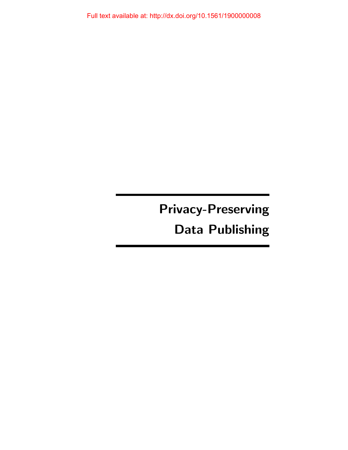Privacy-Preserving Data Publishing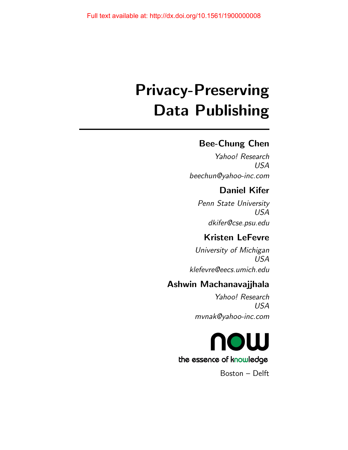# Privacy-Preserving Data Publishing

# Bee-Chung Chen

Yahoo! Research USA beechun@yahoo-inc.com

# Daniel Kifer

Penn State University USA dkifer@cse.psu.edu

# Kristen LeFevre

University of Michigan USA klefevre@eecs.umich.edu

# Ashwin Machanavajjhala

Yahoo! Research USA mvnak@yahoo-inc.com



Boston – Delft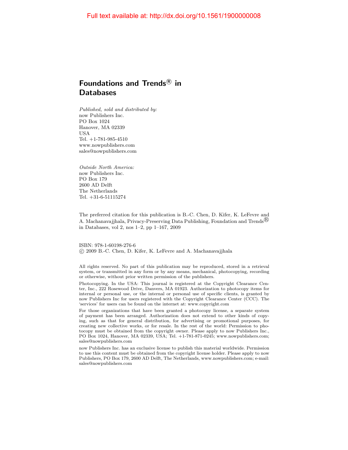# Foundations and Trends ${}^{\text{\textregistered}}$  in **Databases**

Published, sold and distributed by: now Publishers Inc. PO Box 1024 Hanover, MA 02339 USA Tel. +1-781-985-4510 www.nowpublishers.com sales@nowpublishers.com

Outside North America: now Publishers Inc. PO Box 179 2600 AD Delft The Netherlands Tel. +31-6-51115274

The preferred citation for this publication is B.-C. Chen, D. Kifer, K. LeFevre and A. Machanavajjhala, Privacy-Preserving Data Publishing, Foundation and Trends<sup>®</sup> in Databases, vol 2, nos 1–2, pp 1–167, 2009

ISBN: 978-1-60198-276-6 c 2009 B.-C. Chen, D. Kifer, K. LeFevre and A. Machanavajjhala

All rights reserved. No part of this publication may be reproduced, stored in a retrieval system, or transmitted in any form or by any means, mechanical, photocopying, recording or otherwise, without prior written permission of the publishers.

Photocopying. In the USA: This journal is registered at the Copyright Clearance Center, Inc., 222 Rosewood Drive, Danvers, MA 01923. Authorization to photocopy items for internal or personal use, or the internal or personal use of specific clients, is granted by now Publishers Inc for users registered with the Copyright Clearance Center (CCC). The 'services' for users can be found on the internet at: www.copyright.com

For those organizations that have been granted a photocopy license, a separate system of payment has been arranged. Authorization does not extend to other kinds of copying, such as that for general distribution, for advertising or promotional purposes, for creating new collective works, or for resale. In the rest of the world: Permission to photocopy must be obtained from the copyright owner. Please apply to now Publishers Inc., PO Box 1024, Hanover, MA 02339, USA; Tel. +1-781-871-0245; www.nowpublishers.com; sales@nowpublishers.com

now Publishers Inc. has an exclusive license to publish this material worldwide. Permission to use this content must be obtained from the copyright license holder. Please apply to now Publishers, PO Box 179, 2600 AD Delft, The Netherlands, www.nowpublishers.com; e-mail: sales@nowpublishers.com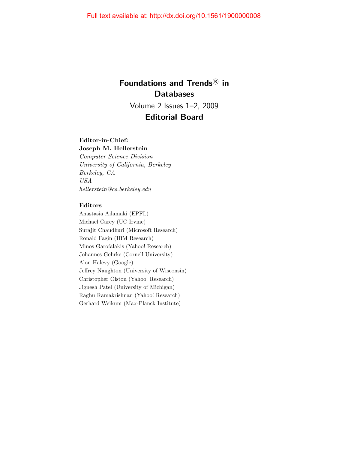# Foundations and Trends<sup>®</sup> in **Databases**

Volume 2 Issues 1–2, 2009 Editorial Board

# Editor-in-Chief:

Joseph M. Hellerstein Computer Science Division University of California, Berkeley Berkeley, CA USA hellerstein@cs.berkeley.edu

# Editors

Anastasia Ailamaki (EPFL) Michael Carey (UC Irvine) Surajit Chaudhuri (Microsoft Research) Ronald Fagin (IBM Research) Minos Garofalakis (Yahoo! Research) Johannes Gehrke (Cornell University) Alon Halevy (Google) Jeffrey Naughton (University of Wisconsin) Christopher Olston (Yahoo! Research) Jignesh Patel (University of Michigan) Raghu Ramakrishnan (Yahoo! Research) Gerhard Weikum (Max-Planck Institute)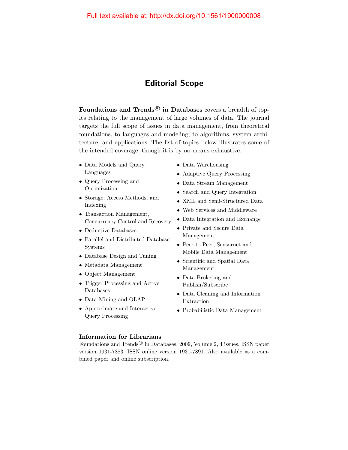# Editorial Scope

Foundations and Trends<sup>®</sup> in Databases covers a breadth of topics relating to the management of large volumes of data. The journal targets the full scope of issues in data management, from theoretical foundations, to languages and modeling, to algorithms, system architecture, and applications. The list of topics below illustrates some of the intended coverage, though it is by no means exhaustive:

- Data Models and Query Languages
- Query Processing and Optimization
- Storage, Access Methods, and Indexing
- Transaction Management, Concurrency Control and Recovery
- Deductive Databases
- Parallel and Distributed Database Systems
- Database Design and Tuning
- Metadata Management
- Object Management
- Trigger Processing and Active Databases
- Data Mining and OLAP
- Approximate and Interactive Query Processing
- Data Warehousing
- Adaptive Query Processing
- Data Stream Management
- Search and Query Integration
- XML and Semi-Structured Data
- Web Services and Middleware
- Data Integration and Exchange
- Private and Secure Data Management
- Peer-to-Peer, Sensornet and Mobile Data Management
- Scientific and Spatial Data Management
- Data Brokering and Publish/Subscribe
- Data Cleaning and Information Extraction
- Probabilistic Data Management

# Information for Librarians

Foundations and Trends<sup>®</sup> in Databases, 2009, Volume 2, 4 issues. ISSN paper version 1931-7883. ISSN online version 1931-7891. Also available as a combined paper and online subscription.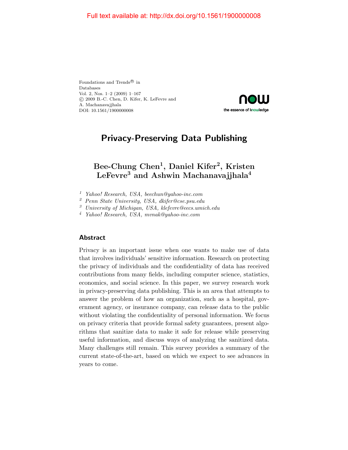Foundations and Trends<br> $^{\circledR}$  in Databases Vol. 2, Nos. 1–2 (2009) 1–167 c 2009 B.-C. Chen, D. Kifer, K. LeFevre and A. Machanavajjhala DOI: 10.1561/1900000008



# Privacy-Preserving Data Publishing

# Bee-Chung  $Chen^1$ , Daniel Kifer<sup>2</sup>, Kristen LeFevre<sup>3</sup> and Ashwin Machanavajjhala<sup>4</sup>

- <sup>1</sup> Yahoo! Research, USA, beechun@yahoo-inc.com
- <sup>2</sup> Penn State University, USA, dkifer@cse.psu.edu
- <sup>3</sup> University of Michigan, USA, klefevre@eecs.umich.edu

<sup>4</sup> Yahoo! Research, USA, mvnak@yahoo-inc.com

# Abstract

Privacy is an important issue when one wants to make use of data that involves individuals' sensitive information. Research on protecting the privacy of individuals and the confidentiality of data has received contributions from many fields, including computer science, statistics, economics, and social science. In this paper, we survey research work in privacy-preserving data publishing. This is an area that attempts to answer the problem of how an organization, such as a hospital, government agency, or insurance company, can release data to the public without violating the confidentiality of personal information. We focus on privacy criteria that provide formal safety guarantees, present algorithms that sanitize data to make it safe for release while preserving useful information, and discuss ways of analyzing the sanitized data. Many challenges still remain. This survey provides a summary of the current state-of-the-art, based on which we expect to see advances in years to come.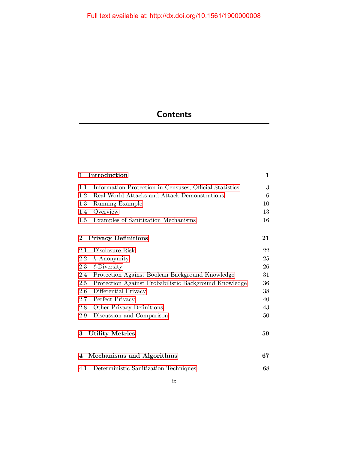# **Contents**

| Introduction<br>1                                              | $\mathbf{1}$ |
|----------------------------------------------------------------|--------------|
| 1.1<br>Information Protection in Censuses, Official Statistics | 3            |
| 1.2<br>Real-World Attacks and Attack Demonstrations            | 6            |
| 1.3<br>Running Example                                         | 10           |
| Overview<br>1.4                                                | 13           |
| $1.5\,$<br>Examples of Sanitization Mechanisms                 | 16           |
| $\bf{2}$<br><b>Privacy Definitions</b>                         | 21           |
| Disclosure Risk<br>2.1                                         | 22           |
| 2.2<br>$k$ -Anonymity                                          | 25           |
| $\ell$ -Diversity<br>2.3                                       | 26           |
| 2.4<br>Protection Against Boolean Background Knowledge         | 31           |
| Protection Against Probabilistic Background Knowledge<br>2.5   | 36           |
| 2.6<br>Differential Privacy                                    | 38           |
| Perfect Privacy<br>2.7                                         | 40           |
| Other Privacy Definitions<br>2.8                               | 43           |
| Discussion and Comparison<br>2.9                               | 50           |
| 3<br><b>Utility Metrics</b>                                    | 59           |
| Mechanisms and Algorithms<br>4                                 | 67           |
| Deterministic Sanitization Techniques<br>4.1                   | 68           |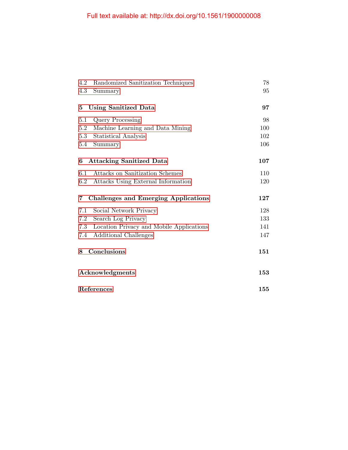| 4.2     | Randomized Sanitization Techniques          | 78  |
|---------|---------------------------------------------|-----|
| 4.3     | Summary                                     | 95  |
|         |                                             |     |
| 5       | <b>Using Sanitized Data</b>                 | 97  |
| 5.1     | <b>Query Processing</b>                     | 98  |
| 5.2     | Machine Learning and Data Mining            | 100 |
| 5.3     | Statistical Analysis                        | 102 |
| 5.4     | Summary                                     | 106 |
|         |                                             |     |
| 6       | <b>Attacking Sanitized Data</b>             | 107 |
| 6.1     | Attacks on Sanitization Schemes             | 110 |
| $6.2\,$ | Attacks Using External Information          | 120 |
|         |                                             |     |
| 7       | <b>Challenges and Emerging Applications</b> | 127 |
| 7.1     | Social Network Privacy                      | 128 |
| 7.2     | Search Log Privacy                          | 133 |
| 7.3     | Location Privacy and Mobile Applications    | 141 |
| 7.4     | Additional Challenges                       | 147 |
|         |                                             |     |
|         |                                             |     |
| 8       | Conclusions                                 | 151 |
|         |                                             |     |
|         |                                             |     |
|         | Acknowledgments                             | 153 |
|         | References                                  | 155 |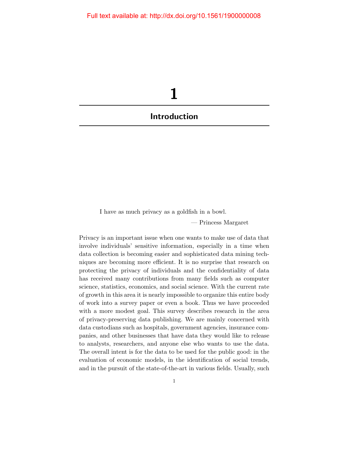<span id="page-8-0"></span>

I have as much privacy as a goldfish in a bowl.

— Princess Margaret

Privacy is an important issue when one wants to make use of data that involve individuals' sensitive information, especially in a time when data collection is becoming easier and sophisticated data mining techniques are becoming more efficient. It is no surprise that research on protecting the privacy of individuals and the confidentiality of data has received many contributions from many fields such as computer science, statistics, economics, and social science. With the current rate of growth in this area it is nearly impossible to organize this entire body of work into a survey paper or even a book. Thus we have proceeded with a more modest goal. This survey describes research in the area of privacy-preserving data publishing. We are mainly concerned with data custodians such as hospitals, government agencies, insurance companies, and other businesses that have data they would like to release to analysts, researchers, and anyone else who wants to use the data. The overall intent is for the data to be used for the public good: in the evaluation of economic models, in the identification of social trends, and in the pursuit of the state-of-the-art in various fields. Usually, such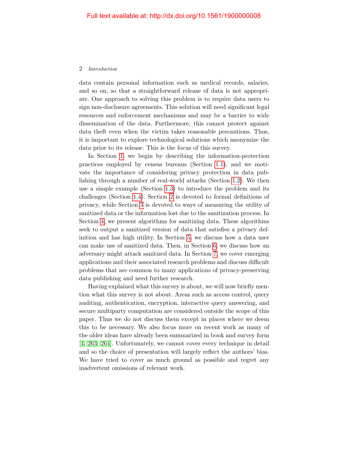data contain personal information such as medical records, salaries, and so on, so that a straightforward release of data is not appropriate. One approach to solving this problem is to require data users to sign non-disclosure agreements. This solution will need significant legal resources and enforcement mechanisms and may be a barrier to wide dissemination of the data. Furthermore, this cannot protect against data theft even when the victim takes reasonable precautions. Thus, it is important to explore technological solutions which anonymize the data prior to its release. This is the focus of this survey.

In Section [1,](#page-8-0) we begin by describing the information-protection practices employed by census bureaus (Section [1.1\)](#page-10-0), and we motivate the importance of considering privacy protection in data publishing through a number of real-world attacks (Section [1.2\)](#page-13-0). We then use a simple example (Section [1.3\)](#page-17-0) to introduce the problem and its challenges (Section [1.4\)](#page-20-0). Section [2](#page--1-0) is devoted to formal definitions of privacy, while Section [3](#page--1-0) is devoted to ways of measuring the utility of sanitized data or the information lost due to the sanitization process. In Section [4,](#page--1-0) we present algorithms for sanitizing data. These algorithms seek to output a sanitized version of data that satisfies a privacy definition and has high utility. In Section [5,](#page--1-0) we discuss how a data user can make use of sanitized data. Then, in Section [6,](#page--1-0) we discuss how an adversary might attack sanitized data. In Section [7,](#page--1-0) we cover emerging applications and their associated research problems and discuss difficult problems that are common to many applications of privacy-preserving data publishing and need further research.

Having explained what this survey is about, we will now briefly mention what this survey is not about. Areas such as access control, query auditing, authentication, encryption, interactive query answering, and secure multiparty computation are considered outside the scope of this paper. Thus we do not discuss them except in places where we deem this to be necessary. We also focus more on recent work as many of the older ideas have already been summarized in book and survey form [\[4,](#page-27-1) [263,](#page-42-0) [264\]](#page-42-1). Unfortunately, we cannot cover every technique in detail and so the choice of presentation will largely reflect the authors' bias. We have tried to cover as much ground as possible and regret any inadvertent omissions of relevant work.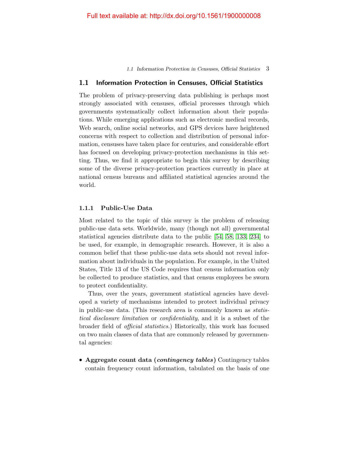1.1 Information Protection in Censuses, Official Statistics 3

# <span id="page-10-0"></span>1.1 Information Protection in Censuses, Official Statistics

The problem of privacy-preserving data publishing is perhaps most strongly associated with censuses, official processes through which governments systematically collect information about their populations. While emerging applications such as electronic medical records, Web search, online social networks, and GPS devices have heightened concerns with respect to collection and distribution of personal information, censuses have taken place for centuries, and considerable effort has focused on developing privacy-protection mechanisms in this setting. Thus, we find it appropriate to begin this survey by describing some of the diverse privacy-protection practices currently in place at national census bureaus and affiliated statistical agencies around the world.

# 1.1.1 Public-Use Data

Most related to the topic of this survey is the problem of releasing public-use data sets. Worldwide, many (though not all) governmental statistical agencies distribute data to the public [\[54,](#page-30-0) [58,](#page-30-1) [133,](#page-35-0) [234\]](#page-41-0) to be used, for example, in demographic research. However, it is also a common belief that these public-use data sets should not reveal information about individuals in the population. For example, in the United States, Title 13 of the US Code requires that census information only be collected to produce statistics, and that census employees be sworn to protect confidentiality.

Thus, over the years, government statistical agencies have developed a variety of mechanisms intended to protect individual privacy in public-use data. (This research area is commonly known as statistical disclosure limitation or confidentiality, and it is a subset of the broader field of official statistics.) Historically, this work has focused on two main classes of data that are commonly released by governmental agencies:

• Aggregate count data *(contingency tables)* Contingency tables contain frequency count information, tabulated on the basis of one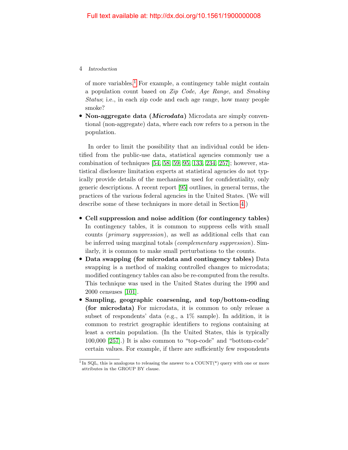of more variables.<sup>[1](#page-11-0)</sup> For example, a contingency table might contain a population count based on Zip Code, Age Range, and Smoking Status; i.e., in each zip code and each age range, how many people smoke?

• Non-aggregate data *(Microdata)* Microdata are simply conventional (non-aggregate) data, where each row refers to a person in the population.

In order to limit the possibility that an individual could be identified from the public-use data, statistical agencies commonly use a combination of techniques [\[54,](#page-30-0) [58,](#page-30-1) [59,](#page-30-2) [95,](#page-33-0) [133,](#page-35-0) [234,](#page-41-0) [257\]](#page-42-2); however, statistical disclosure limitation experts at statistical agencies do not typically provide details of the mechanisms used for confidentiality, only generic descriptions. A recent report [\[95\]](#page-33-0) outlines, in general terms, the practices of the various federal agencies in the United States. (We will describe some of these techniques in more detail in Section [4.](#page--1-0))

- Cell suppression and noise addition (for contingency tables) In contingency tables, it is common to suppress cells with small counts (primary suppression), as well as additional cells that can be inferred using marginal totals (complementary suppression). Similarly, it is common to make small perturbations to the counts.
- Data swapping (for microdata and contingency tables) Data swapping is a method of making controlled changes to microdata; modified contingency tables can also be re-computed from the results. This technique was used in the United States during the 1990 and 2000 censuses [\[101\]](#page-33-1).
- Sampling, geographic coarsening, and top/bottom-coding (for microdata) For microdata, it is common to only release a subset of respondents' data (e.g., a 1% sample). In addition, it is common to restrict geographic identifiers to regions containing at least a certain population. (In the United States, this is typically 100,000 [\[257\]](#page-42-2).) It is also common to "top-code" and "bottom-code" certain values. For example, if there are sufficiently few respondents

<span id="page-11-0"></span><sup>&</sup>lt;sup>1</sup> In SQL, this is analogous to releasing the answer to a COUNT(\*) query with one or more attributes in the GROUP BY clause.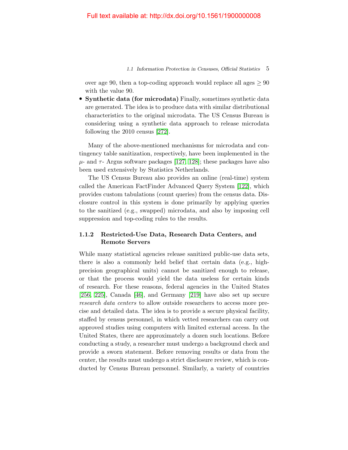# 1.1 Information Protection in Censuses, Official Statistics 5

over age 90, then a top-coding approach would replace all ages  $> 90$ with the value 90.

• Synthetic data (for microdata) Finally, sometimes synthetic data are generated. The idea is to produce data with similar distributional characteristics to the original microdata. The US Census Bureau is considering using a synthetic data approach to release microdata following the 2010 census [\[272\]](#page-43-0).

Many of the above-mentioned mechanisms for microdata and contingency table sanitization, respectively, have been implemented in the  $\mu$ - and  $\tau$ - Argus software packages [\[127,](#page-35-1) [128\]](#page-35-2); these packages have also been used extensively by Statistics Netherlands.

The US Census Bureau also provides an online (real-time) system called the American FactFinder Advanced Query System [\[122\]](#page-34-0), which provides custom tabulations (count queries) from the census data. Disclosure control in this system is done primarily by applying queries to the sanitized (e.g., swapped) microdata, and also by imposing cell suppression and top-coding rules to the results.

# 1.1.2 Restricted-Use Data, Research Data Centers, and Remote Servers

While many statistical agencies release sanitized public-use data sets, there is also a commonly held belief that certain data (e.g., highprecision geographical units) cannot be sanitized enough to release, or that the process would yield the data useless for certain kinds of research. For these reasons, federal agencies in the United States [\[256,](#page-42-3) [225\]](#page-40-0), Canada [\[46\]](#page-30-3), and Germany [\[219\]](#page-40-1) have also set up secure research data centers to allow outside researchers to access more precise and detailed data. The idea is to provide a secure physical facility, staffed by census personnel, in which vetted researchers can carry out approved studies using computers with limited external access. In the United States, there are approximately a dozen such locations. Before conducting a study, a researcher must undergo a background check and provide a sworn statement. Before removing results or data from the center, the results must undergo a strict disclosure review, which is conducted by Census Bureau personnel. Similarly, a variety of countries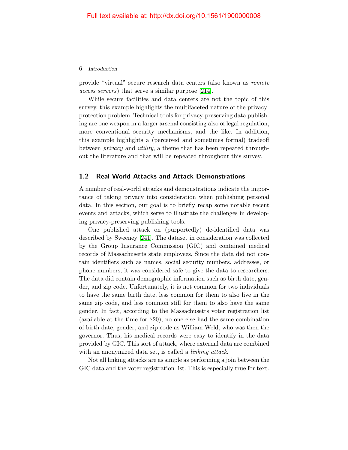provide "virtual" secure research data centers (also known as remote access servers) that serve a similar purpose [\[214\]](#page-40-2).

While secure facilities and data centers are not the topic of this survey, this example highlights the multifaceted nature of the privacyprotection problem. Technical tools for privacy-preserving data publishing are one weapon in a larger arsenal consisting also of legal regulation, more conventional security mechanisms, and the like. In addition, this example highlights a (perceived and sometimes formal) tradeoff between privacy and utility, a theme that has been repeated throughout the literature and that will be repeated throughout this survey.

# <span id="page-13-0"></span>1.2 Real-World Attacks and Attack Demonstrations

A number of real-world attacks and demonstrations indicate the importance of taking privacy into consideration when publishing personal data. In this section, our goal is to briefly recap some notable recent events and attacks, which serve to illustrate the challenges in developing privacy-preserving publishing tools.

One published attack on (purportedly) de-identified data was described by Sweeney [\[241\]](#page-41-1). The dataset in consideration was collected by the Group Insurance Commission (GIC) and contained medical records of Massachusetts state employees. Since the data did not contain identifiers such as names, social security numbers, addresses, or phone numbers, it was considered safe to give the data to researchers. The data did contain demographic information such as birth date, gender, and zip code. Unfortunately, it is not common for two individuals to have the same birth date, less common for them to also live in the same zip code, and less common still for them to also have the same gender. In fact, according to the Massachusetts voter registration list (available at the time for \$20), no one else had the same combination of birth date, gender, and zip code as William Weld, who was then the governor. Thus, his medical records were easy to identify in the data provided by GIC. This sort of attack, where external data are combined with an anonymized data set, is called a *linking attack*.

Not all linking attacks are as simple as performing a join between the GIC data and the voter registration list. This is especially true for text.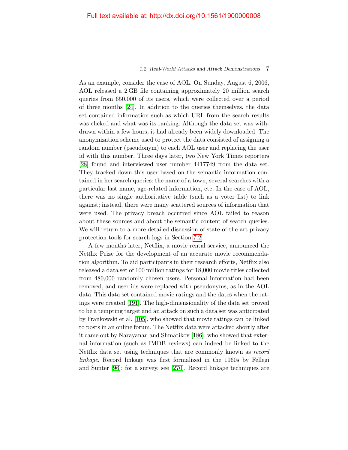## 1.2 Real-World Attacks and Attack Demonstrations 7

As an example, consider the case of AOL. On Sunday, August 6, 2006, AOL released a 2 GB file containing approximately 20 million search queries from 650,000 of its users, which were collected over a period of three months [\[24\]](#page-28-0). In addition to the queries themselves, the data set contained information such as which URL from the search results was clicked and what was its ranking. Although the data set was withdrawn within a few hours, it had already been widely downloaded. The anonymization scheme used to protect the data consisted of assigning a random number (pseudonym) to each AOL user and replacing the user id with this number. Three days later, two New York Times reporters [\[28\]](#page-29-0) found and interviewed user number 4417749 from the data set. They tracked down this user based on the semantic information contained in her search queries: the name of a town, several searches with a particular last name, age-related information, etc. In the case of AOL, there was no single authoritative table (such as a voter list) to link against; instead, there were many scattered sources of information that were used. The privacy breach occurred since AOL failed to reason about these sources and about the semantic content of search queries. We will return to a more detailed discussion of state-of-the-art privacy protection tools for search logs in Section [7.2.](#page--1-15)

A few months later, Netflix, a movie rental service, announced the Netflix Prize for the development of an accurate movie recommendation algorithm. To aid participants in their research efforts, Netflix also released a data set of 100 million ratings for 18,000 movie titles collected from 480,000 randomly chosen users. Personal information had been removed, and user ids were replaced with pseudonyms, as in the AOL data. This data set contained movie ratings and the dates when the ratings were created [\[191\]](#page-38-0). The high-dimensionality of the data set proved to be a tempting target and an attack on such a data set was anticipated by Frankowski et al. [\[105\]](#page-33-2), who showed that movie ratings can be linked to posts in an online forum. The Netflix data were attacked shortly after it came out by Narayanan and Shmatikov [\[186\]](#page-38-1), who showed that external information (such as IMDB reviews) can indeed be linked to the Netflix data set using techniques that are commonly known as record linkage. Record linkage was first formalized in the 1960s by Fellegi and Sunter [\[96\]](#page-33-3); for a survey, see [\[270\]](#page-43-1). Record linkage techniques are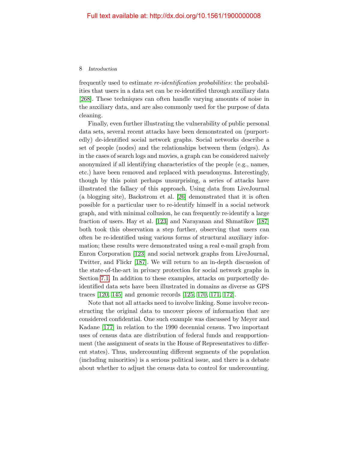frequently used to estimate *re-identification probabilities*: the probabilities that users in a data set can be re-identified through auxiliary data [\[268\]](#page-42-4). These techniques can often handle varying amounts of noise in the auxiliary data, and are also commonly used for the purpose of data cleaning.

Finally, even further illustrating the vulnerability of public personal data sets, several recent attacks have been demonstrated on (purportedly) de-identified social network graphs. Social networks describe a set of people (nodes) and the relationships between them (edges). As in the cases of search logs and movies, a graph can be considered naively anonymized if all identifying characteristics of the people (e.g., names, etc.) have been removed and replaced with pseudonyms. Interestingly, though by this point perhaps unsurprising, a series of attacks have illustrated the fallacy of this approach. Using data from LiveJournal (a blogging site), Backstrom et al. [\[26\]](#page-29-1) demonstrated that it is often possible for a particular user to re-identify himself in a social network graph, and with minimal collusion, he can frequently re-identify a large fraction of users. Hay et al. [\[123\]](#page-34-1) and Narayanan and Shmatikov [\[187\]](#page-38-2) both took this observation a step further, observing that users can often be re-identified using various forms of structural auxiliary information; these results were demonstrated using a real e-mail graph from Enron Corporation [\[123\]](#page-34-1) and social network graphs from LiveJournal, Twitter, and Flickr [\[187\]](#page-38-2). We will return to an in-depth discussion of the state-of-the-art in privacy protection for social network graphs in Section [7.1.](#page--1-14) In addition to these examples, attacks on purportedly deidentified data sets have been illustrated in domains as diverse as GPS traces [\[120,](#page-34-2) [145\]](#page-36-0) and genomic records [\[125,](#page-34-3) [170,](#page-37-0) [171,](#page-37-1) [172\]](#page-37-2).

Note that not all attacks need to involve linking. Some involve reconstructing the original data to uncover pieces of information that are considered confidential. One such example was discussed by Meyer and Kadane [\[177\]](#page-38-3) in relation to the 1990 decennial census. Two important uses of census data are distribution of federal funds and reapportionment (the assignment of seats in the House of Representatives to different states). Thus, undercounting different segments of the population (including minorities) is a serious political issue, and there is a debate about whether to adjust the census data to control for undercounting.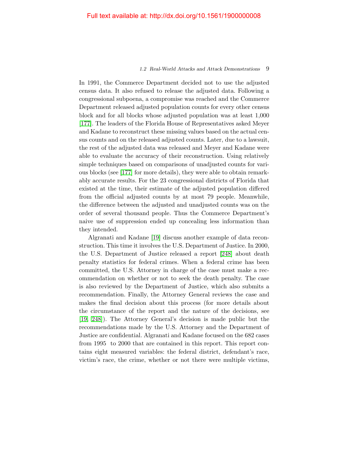### 1.2 Real-World Attacks and Attack Demonstrations 9

In 1991, the Commerce Department decided not to use the adjusted census data. It also refused to release the adjusted data. Following a congressional subpoena, a compromise was reached and the Commerce Department released adjusted population counts for every other census block and for all blocks whose adjusted population was at least 1,000 [\[177\]](#page-38-3). The leaders of the Florida House of Representatives asked Meyer and Kadane to reconstruct these missing values based on the actual census counts and on the released adjusted counts. Later, due to a lawsuit, the rest of the adjusted data was released and Meyer and Kadane were able to evaluate the accuracy of their reconstruction. Using relatively simple techniques based on comparisons of unadjusted counts for various blocks (see [\[177\]](#page-38-3) for more details), they were able to obtain remarkably accurate results. For the 23 congressional districts of Florida that existed at the time, their estimate of the adjusted population differed from the official adjusted counts by at most 79 people. Meanwhile, the difference between the adjusted and unadjusted counts was on the order of several thousand people. Thus the Commerce Department's naive use of suppression ended up concealing less information than they intended.

Algranati and Kadane [\[19\]](#page-28-1) discuss another example of data reconstruction. This time it involves the U.S. Department of Justice. In 2000, the U.S. Department of Justice released a report [\[248\]](#page-41-2) about death penalty statistics for federal crimes. When a federal crime has been committed, the U.S. Attorney in charge of the case must make a recommendation on whether or not to seek the death penalty. The case is also reviewed by the Department of Justice, which also submits a recommendation. Finally, the Attorney General reviews the case and makes the final decision about this process (for more details about the circumstance of the report and the nature of the decisions, see [\[19,](#page-28-1) [248\]](#page-41-2)). The Attorney General's decision is made public but the recommendations made by the U.S. Attorney and the Department of Justice are confidential. Algranati and Kadane focused on the 682 cases from 1995 to 2000 that are contained in this report. This report contains eight measured variables: the federal district, defendant's race, victim's race, the crime, whether or not there were multiple victims,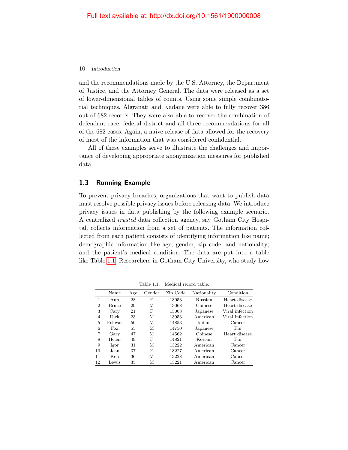and the recommendations made by the U.S. Attorney, the Department of Justice, and the Attorney General. The data were released as a set of lower-dimensional tables of counts. Using some simple combinatorial techniques, Algranati and Kadane were able to fully recover 386 out of 682 records. They were also able to recover the combination of defendant race, federal district and all three recommendations for all of the 682 cases. Again, a naive release of data allowed for the recovery of most of the information that was considered confidential.

All of these examples serve to illustrate the challenges and importance of developing appropriate anonymization measures for published data.

# <span id="page-17-0"></span>1.3 Running Example

To prevent privacy breaches, organizations that want to publish data must resolve possible privacy issues before releasing data. We introduce privacy issues in data publishing by the following example scenario. A centralized trusted data collection agency, say Gotham City Hospital, collects information from a set of patients. The information collected from each patient consists of identifying information like name; demographic information like age, gender, zip code, and nationality; and the patient's medical condition. The data are put into a table like Table [1.1.](#page-17-1) Researchers in Gotham City University, who study how

<span id="page-17-1"></span>

|                | Name   | Age | Gender | Zip Code | Nationality | Condition       |
|----------------|--------|-----|--------|----------|-------------|-----------------|
| 1              | Ann    | 28  | F      | 13053    | Russian     | Heart disease   |
| $\overline{2}$ | Bruce  | 29  | М      | 13068    | Chinese     | Heart disease   |
| 3              | Cary   | 21  | F      | 13068    | Japanese    | Viral infection |
| $\overline{4}$ | Dick   | 23  | М      | 13053    | American    | Viral infection |
| 5              | Eshwar | 50  | М      | 14853    | Indian      | Cancer          |
| 6              | Fox    | 55  | М      | 14750    | Japanese    | F <sub>11</sub> |
| 7              | Gary   | 47  | М      | 14562    | Chinese     | Heart disease   |
| 8              | Helen  | 49  | F      | 14821    | Korean      | F <sub>11</sub> |
| 9              | Igor   | 31  | М      | 13222    | American    | Cancer          |
| 10             | Jean   | 37  | F      | 13227    | American    | Cancer          |
| 11             | Ken    | 36  | М      | 13228    | American    | Cancer          |
| 12             | Lewis  | 35  | М      | 13221    | A merican   | Cancer          |

Table 1.1. Medical record table.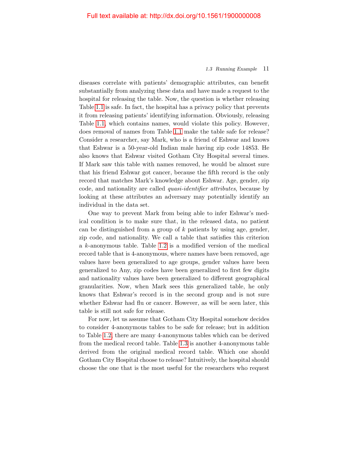# 1.3 Running Example 11

diseases correlate with patients' demographic attributes, can benefit substantially from analyzing these data and have made a request to the hospital for releasing the table. Now, the question is whether releasing Table [1.1](#page-17-1) is safe. In fact, the hospital has a privacy policy that prevents it from releasing patients' identifying information. Obviously, releasing Table [1.1,](#page-17-1) which contains names, would violate this policy. However, does removal of names from Table [1.1](#page-17-1) make the table safe for release? Consider a researcher, say Mark, who is a friend of Eshwar and knows that Eshwar is a 50-year-old Indian male having zip code 14853. He also knows that Eshwar visited Gotham City Hospital several times. If Mark saw this table with names removed, he would be almost sure that his friend Eshwar got cancer, because the fifth record is the only record that matches Mark's knowledge about Eshwar. Age, gender, zip code, and nationality are called quasi-identifier attributes, because by looking at these attributes an adversary may potentially identify an individual in the data set.

One way to prevent Mark from being able to infer Eshwar's medical condition is to make sure that, in the released data, no patient can be distinguished from a group of  $k$  patients by using age, gender, zip code, and nationality. We call a table that satisfies this criterion a k-anonymous table. Table [1.2](#page-19-0) is a modified version of the medical record table that is 4-anonymous, where names have been removed, age values have been generalized to age groups, gender values have been generalized to Any, zip codes have been generalized to first few digits and nationality values have been generalized to different geographical granularities. Now, when Mark sees this generalized table, he only knows that Eshwar's record is in the second group and is not sure whether Eshwar had flu or cancer. However, as will be seen later, this table is still not safe for release.

For now, let us assume that Gotham City Hospital somehow decides to consider 4-anonymous tables to be safe for release; but in addition to Table [1.2,](#page-19-0) there are many 4-anonymous tables which can be derived from the medical record table. Table [1.3](#page-19-1) is another 4-anonymous table derived from the original medical record table. Which one should Gotham City Hospital choose to release? Intuitively, the hospital should choose the one that is the most useful for the researchers who request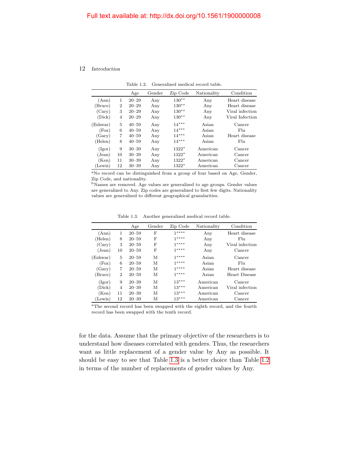Table 1.2. Generalized medical record table.

<span id="page-19-0"></span>

|                   |    | Age       | Gender | Zip Code | Nationality | Condition       |
|-------------------|----|-----------|--------|----------|-------------|-----------------|
| (Ann)             | 1  | $20 - 29$ | Any    | $130**$  | Any         | Heart disease   |
| (Bruce)           | 2  | $20 - 29$ | Any    | $130**$  | Any         | Heart disease   |
| (Cary)            | 3  | $20 - 29$ | Any    | $130**$  | Any         | Viral infection |
| (Dick)            | 4  | $20 - 29$ | Any    | $130**$  | Any         | Viral Infection |
| (Eshwar)          | 5  | $40 - 59$ | Any    | $14***$  | Asian       | Cancer          |
| (Fox)             | 6  | $40 - 59$ | Any    | $14***$  | Asian       | Flu             |
| (Gary)            | 7  | $40 - 59$ | Any    | $14***$  | Asian       | Heart disease   |
| (Helen)           | 8  | $40 - 59$ | Any    | $14***$  | Asian       | Flu             |
| (Igor)            | 9  | $30 - 39$ | Any    | $1322*$  | American    | Cancer          |
| $(\mathrm{Jean})$ | 10 | $30 - 39$ | Any    | $1322*$  | American    | Cancer          |
| (Ken)             | 11 | $30 - 39$ | Any    | $1322*$  | American    | Cancer          |
| (Lewis)           | 12 | $30 - 39$ | Any    | $1322*$  | American    | Cancer          |

<sup>a</sup>No record can be distinguished from a group of four based on Age, Gender, Zip Code, and nationality.

<sup>b</sup>Names are removed. Age values are generalized to age groups. Gender values are generalized to Any. Zip codes are generalized to first few digits. Nationality values are generalized to different geographical granularities.

Table 1.3. Another generalized medical record table.

<span id="page-19-1"></span>

|          |                | Age       | Gender | Zip Code | Nationality | Condition       |
|----------|----------------|-----------|--------|----------|-------------|-----------------|
| (Ann)    | 1              | $20 - 59$ | F      | $1****$  | Any         | Heart disease   |
| (Helen)  | 8              | $20 - 59$ | F      | $1****$  | Any         | F <sub>lu</sub> |
| (Cary)   | 3              | $20 - 59$ | F      | $1****$  | Any         | Viral infection |
| (Jean)   | 10             | $20 - 59$ | F      | $1***$   | Any         | Cancer          |
| (Eshwar) | 5              | $20 - 59$ | М      | $1****$  | Asian       | Cancer          |
| (Fox)    | 6              | $20 - 59$ | М      | $1****$  | Asian       | Flu             |
| (Gary)   | 7              | $20 - 59$ | М      | $1****$  | Asian       | Heart disease   |
| (Bruce)  | $\overline{2}$ | $20 - 59$ | М      | $1****$  | Asian       | Heart Disease   |
| (Igor)   | 9              | $20 - 39$ | М      | $13***$  | American    | Cancer          |
| (Dick)   | 4              | $20 - 39$ | М      | $13***$  | American    | Viral infection |
| (Ken)    | 11             | $20 - 39$ | М      | $13***$  | American    | Cancer          |
| (Lewis)  | 12             | $20 - 39$ | М      | $13***$  | American    | Cancer          |

<sup>a</sup>The second record has been swapped with the eighth record, and the fourth record has been swapped with the tenth record.

for the data. Assume that the primary objective of the researchers is to understand how diseases correlated with genders. Thus, the researchers want as little replacement of a gender value by Any as possible. It should be easy to see that Table [1.3](#page-19-1) is a better choice than Table [1.2](#page-19-0) in terms of the number of replacements of gender values by Any.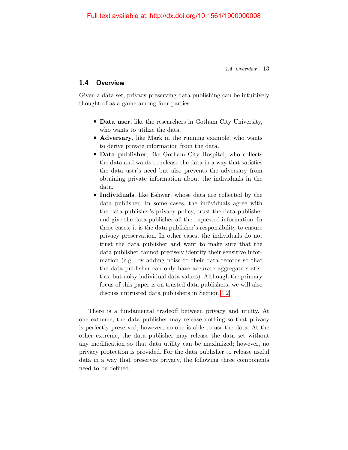1.4 Overview 13

# <span id="page-20-0"></span>1.4 Overview

Given a data set, privacy-preserving data publishing can be intuitively thought of as a game among four parties:

- Data user, like the researchers in Gotham City University, who wants to utilize the data.
- Adversary, like Mark in the running example, who wants to derive private information from the data.
- Data publisher, like Gotham City Hospital, who collects the data and wants to release the data in a way that satisfies the data user's need but also prevents the adversary from obtaining private information about the individuals in the data.
- Individuals, like Eshwar, whose data are collected by the data publisher. In some cases, the individuals agree with the data publisher's privacy policy, trust the data publisher and give the data publisher all the requested information. In these cases, it is the data publisher's responsibility to ensure privacy preservation. In other cases, the individuals do not trust the data publisher and want to make sure that the data publisher cannot precisely identify their sensitive information (e.g., by adding noise to their data records so that the data publisher can only have accurate aggregate statistics, but noisy individual data values). Although the primary focus of this paper is on trusted data publishers, we will also discuss untrusted data publishers in Section [4.2.](#page--1-8)

There is a fundamental tradeoff between privacy and utility. At one extreme, the data publisher may release nothing so that privacy is perfectly preserved; however, no one is able to use the data. At the other extreme, the data publisher may release the data set without any modification so that data utility can be maximized; however, no privacy protection is provided. For the data publisher to release useful data in a way that preserves privacy, the following three components need to be defined.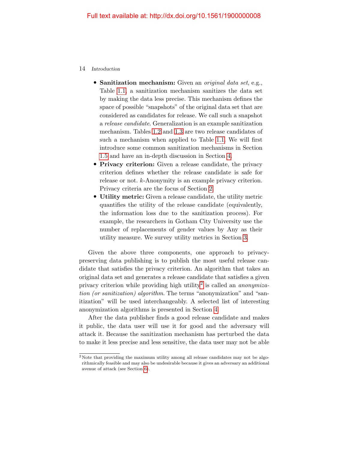- Sanitization mechanism: Given an *original data set*, e.g., Table [1.1,](#page-17-1) a sanitization mechanism sanitizes the data set by making the data less precise. This mechanism defines the space of possible "snapshots" of the original data set that are considered as candidates for release. We call such a snapshot a release candidate. Generalization is an example sanitization mechanism. Tables [1.2](#page-19-0) and [1.3](#page-19-1) are two release candidates of such a mechanism when applied to Table [1.1.](#page-17-1) We will first introduce some common sanitization mechanisms in Section [1.5](#page-23-0) and have an in-depth discussion in Section [4.](#page--1-0)
- Privacy criterion: Given a release candidate, the privacy criterion defines whether the release candidate is safe for release or not. k-Anonymity is an example privacy criterion. Privacy criteria are the focus of Section [2.](#page--1-0)
- Utility metric: Given a release candidate, the utility metric quantifies the utility of the release candidate (equivalently, the information loss due to the sanitization process). For example, the researchers in Gotham City University use the number of replacements of gender values by Any as their utility measure. We survey utility metrics in Section [3.](#page--1-0)

Given the above three components, one approach to privacypreserving data publishing is to publish the most useful release candidate that satisfies the privacy criterion. An algorithm that takes an original data set and generates a release candidate that satisfies a given privacy criterion while providing high utility<sup>[2](#page-21-0)</sup> is called an *anonymiza*tion (or sanitization) algorithm. The terms "anonymization" and "sanitization" will be used interchangeably. A selected list of interesting anonymization algorithms is presented in Section [4.](#page--1-0)

After the data publisher finds a good release candidate and makes it public, the data user will use it for good and the adversary will attack it. Because the sanitization mechanism has perturbed the data to make it less precise and less sensitive, the data user may not be able

<span id="page-21-0"></span><sup>2</sup> Note that providing the maximum utility among all release candidates may not be algorithmically feasible and may also be undesirable because it gives an adversary an additional avenue of attack (see Section [6\)](#page--1-0).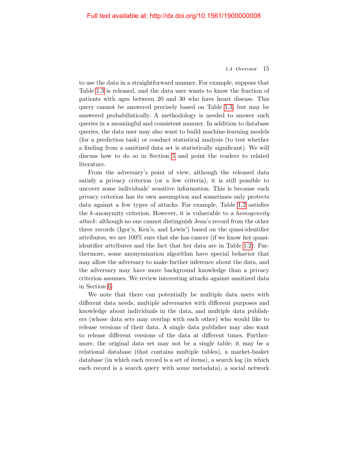### 1.4 Overview 15

to use the data in a straightforward manner. For example, suppose that Table [1.3](#page-19-1) is released, and the data user wants to know the fraction of patients with ages between 20 and 30 who have heart disease. This query cannot be answered precisely based on Table [1.3,](#page-19-1) but may be answered probabilistically. A methodology is needed to answer such queries in a meaningful and consistent manner. In addition to database queries, the data user may also want to build machine-learning models (for a prediction task) or conduct statistical analysis (to test whether a finding from a sanitized data set is statistically significant). We will discuss how to do so in Section [5](#page--1-0) and point the readers to related literature.

From the adversary's point of view, although the released data satisfy a privacy criterion (or a few criteria), it is still possible to uncover some individuals' sensitive information. This is because each privacy criterion has its own assumption and sometimes only protects data against a few types of attacks. For example, Table [1.2](#page-19-0) satisfies the  $k$ -anonymity criterion. However, it is vulnerable to a *homogeneity* attack: although no one cannot distinguish Jean's record from the other three records (Igor's, Ken's, and Lewis') based on the quasi-identifier attributes, we are 100% sure that she has cancer (if we know her quasiidentifier attributes and the fact that her data are in Table [1.2\)](#page-19-0). Furthermore, some anonymization algorithm have special behavior that may allow the adversary to make further inference about the data, and the adversary may have more background knowledge than a privacy criterion assumes. We review interesting attacks against sanitized data in Section [6.](#page--1-0)

We note that there can potentially be multiple data users with different data needs, multiple adversaries with different purposes and knowledge about individuals in the data, and multiple data publishers (whose data sets may overlap with each other) who would like to release versions of their data. A single data publisher may also want to release different versions of the data at different times. Furthermore, the original data set may not be a single table; it may be a relational database (that contains multiple tables), a market-basket database (in which each record is a set of items), a search log (in which each record is a search query with some metadata), a social network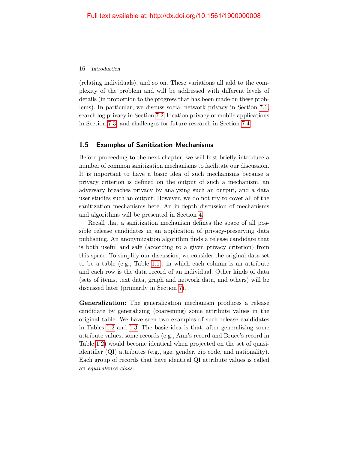(relating individuals), and so on. These variations all add to the complexity of the problem and will be addressed with different levels of details (in proportion to the progress that has been made on these problems). In particular, we discuss social network privacy in Section [7.1,](#page--1-14) search log privacy in Section [7.2,](#page--1-15) location privacy of mobile applications in Section [7.3,](#page--1-0) and challenges for future research in Section [7.4.](#page--1-16)

# <span id="page-23-0"></span>1.5 Examples of Sanitization Mechanisms

Before proceeding to the next chapter, we will first briefly introduce a number of common sanitization mechanisms to facilitate our discussion. It is important to have a basic idea of such mechanisms because a privacy criterion is defined on the output of such a mechanism, an adversary breaches privacy by analyzing such an output, and a data user studies such an output. However, we do not try to cover all of the sanitization mechanisms here. An in-depth discussion of mechanisms and algorithms will be presented in Section [4.](#page--1-0)

Recall that a sanitization mechanism defines the space of all possible release candidates in an application of privacy-preserving data publishing. An anonymization algorithm finds a release candidate that is both useful and safe (according to a given privacy criterion) from this space. To simplify our discussion, we consider the original data set to be a table (e.g., Table [1.1\)](#page-17-1), in which each column is an attribute and each row is the data record of an individual. Other kinds of data (sets of items, text data, graph and network data, and others) will be discussed later (primarily in Section [7\)](#page--1-0).

Generalization: The generalization mechanism produces a release candidate by generalizing (coarsening) some attribute values in the original table. We have seen two examples of such release candidates in Tables [1.2](#page-19-0) and [1.3.](#page-19-1) The basic idea is that, after generalizing some attribute values, some records (e.g., Ann's record and Bruce's record in Table [1.2\)](#page-19-0) would become identical when projected on the set of quasiidentifier (QI) attributes (e.g., age, gender, zip code, and nationality). Each group of records that have identical QI attribute values is called an equivalence class.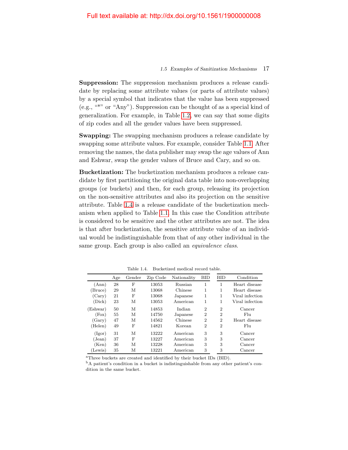### 1.5 Examples of Sanitization Mechanisms 17

Suppression: The suppression mechanism produces a release candidate by replacing some attribute values (or parts of attribute values) by a special symbol that indicates that the value has been suppressed (e.g., "\*" or "Any"). Suppression can be thought of as a special kind of generalization. For example, in Table [1.2,](#page-19-0) we can say that some digits of zip codes and all the gender values have been suppressed.

Swapping: The swapping mechanism produces a release candidate by swapping some attribute values. For example, consider Table [1.1.](#page-17-1) After removing the names, the data publisher may swap the age values of Ann and Eshwar, swap the gender values of Bruce and Cary, and so on.

Bucketization: The bucketization mechanism produces a release candidate by first partitioning the original data table into non-overlapping groups (or buckets) and then, for each group, releasing its projection on the non-sensitive attributes and also its projection on the sensitive attribute. Table [1.4](#page-24-0) is a release candidate of the bucketization mechanism when applied to Table [1.1.](#page-17-1) In this case the Condition attribute is considered to be sensitive and the other attributes are not. The idea is that after bucketization, the sensitive attribute value of an individual would be indistinguishable from that of any other individual in the same group. Each group is also called an *equivalence class*.

<span id="page-24-0"></span>

|                   | Age | Gender | Zip Code | Nationality | <b>BID</b>     | <b>BID</b>     | Condition       |
|-------------------|-----|--------|----------|-------------|----------------|----------------|-----------------|
| (Ann)             | 28  | F      | 13053    | Russian     | 1              |                | Heart disease   |
| Bruce)            | 29  | М      | 13068    | Chinese     | 1              | 1              | Heart disease   |
| (Cary)            | 21  | F      | 13068    | Japanese    | 1              | 1              | Viral infection |
| (Dick)            | 23  | М      | 13053    | American    | 1              | 1              | Viral infection |
| (Eshwar)          | 50  | М      | 14853    | Indian      | $\overline{2}$ | $\overline{2}$ | Cancer          |
| $(\text{Fox})$    | 55  | M      | 14750    | Japanese    | $\overline{2}$ | $\overline{2}$ | F <sub>11</sub> |
| (Gary)            | 47  | M      | 14562    | Chinese     | $\overline{2}$ | $\overline{2}$ | Heart disease   |
| (Helen)           | 49  | F      | 14821    | Korean      | $\overline{2}$ | $\overline{2}$ | F <sub>11</sub> |
| (Igor)            | 31  | М      | 13222    | American    | 3              | 3              | Cancer          |
| $(\mathrm{Jean})$ | 37  | F      | 13227    | American    | 3              | 3              | Cancer          |
| (Ken)             | 36  | M      | 13228    | American    | 3              | 3              | Cancer          |
| (Lewis)           | 35  | М      | 13221    | American    | 3              | 3              | Cancer          |

Table 1.4. Bucketized medical record table.

<sup>a</sup>Three buckets are created and identified by their bucket IDs (BID).

<sup>b</sup>A patient's condition in a bucket is indistinguishable from any other patient's condition in the same bucket.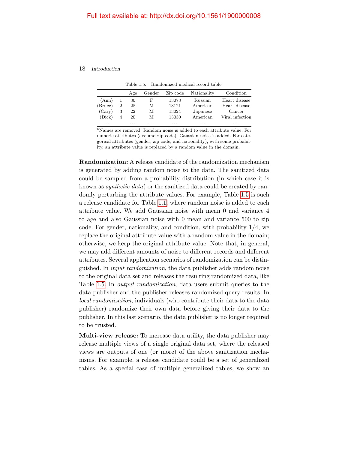Table 1.5. Randomized medical record table.

<span id="page-25-0"></span>

|          |   | Age | Gender | Zip code | Nationality | Condition       |
|----------|---|-----|--------|----------|-------------|-----------------|
| (Ann)    |   | 30  | F      | 13073    | Russian     | Heart disease   |
| (Bruce)  | 2 | 28  | М      | 13121    | American    | Heart disease   |
| (Cary)   | 3 | 22  | М      | 13024    | Japanese    | Cancer          |
| (Dick)   | 4 | 20  | М      | 13030    | American    | Viral infection |
| $\cdots$ |   | .   | .      | $\cdots$ | .           | $\cdots$        |

<sup>a</sup>Names are removed. Random noise is added to each attribute value. For numeric attributes (age and zip code), Gaussian noise is added. For categorical attributes (gender, zip code, and nationality), with some probability, an attribute value is replaced by a random value in the domain.

Randomization: A release candidate of the randomization mechanism is generated by adding random noise to the data. The sanitized data could be sampled from a probability distribution (in which case it is known as synthetic data) or the sanitized data could be created by randomly perturbing the attribute values. For example, Table [1.5](#page-25-0) is such a release candidate for Table [1.1,](#page-17-1) where random noise is added to each attribute value. We add Gaussian noise with mean 0 and variance 4 to age and also Gaussian noise with 0 mean and variance 500 to zip code. For gender, nationality, and condition, with probability 1/4, we replace the original attribute value with a random value in the domain; otherwise, we keep the original attribute value. Note that, in general, we may add different amounts of noise to different records and different attributes. Several application scenarios of randomization can be distinguished. In input randomization, the data publisher adds random noise to the original data set and releases the resulting randomized data, like Table [1.5.](#page-25-0) In output randomization, data users submit queries to the data publisher and the publisher releases randomized query results. In local randomization, individuals (who contribute their data to the data publisher) randomize their own data before giving their data to the publisher. In this last scenario, the data publisher is no longer required to be trusted.

Multi-view release: To increase data utility, the data publisher may release multiple views of a single original data set, where the released views are outputs of one (or more) of the above sanitization mechanisms. For example, a release candidate could be a set of generalized tables. As a special case of multiple generalized tables, we show an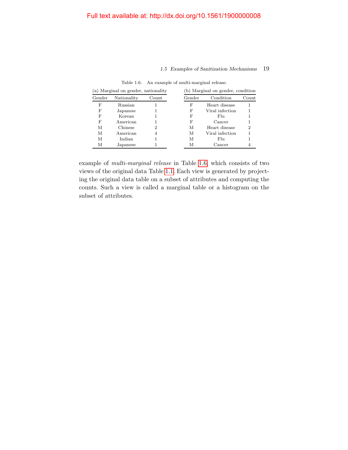# 1.5 Examples of Sanitization Mechanisms 19

<span id="page-26-0"></span>

| (a) Marginal on gender, nationality |             |       |  |        | (b) Marginal on gender, condition |       |
|-------------------------------------|-------------|-------|--|--------|-----------------------------------|-------|
| Gender                              | Nationality | Count |  | Gender | Condition                         | Count |
| F                                   | Russian     |       |  | F      | Heart disease                     |       |
| F                                   | Japanese    |       |  | F      | Viral infection                   |       |
| F                                   | Korean      |       |  | F      | F <sub>11</sub>                   |       |
| F                                   | American    |       |  | F      | Cancer                            |       |
| М                                   | Chinese     | 2     |  | М      | Heart disease                     | 2     |
| М                                   | American    | 4     |  | М      | Viral infection                   |       |
| М                                   | Indian      |       |  | М      | F <sub>11</sub>                   |       |
| М                                   | Japanese    |       |  | М      | Cancer                            |       |

Table 1.6. An example of multi-marginal release.

example of multi-marginal release in Table [1.6,](#page-26-0) which consists of two views of the original data Table [1.1.](#page-17-1) Each view is generated by projecting the original data table on a subset of attributes and computing the counts. Such a view is called a marginal table or a histogram on the subset of attributes.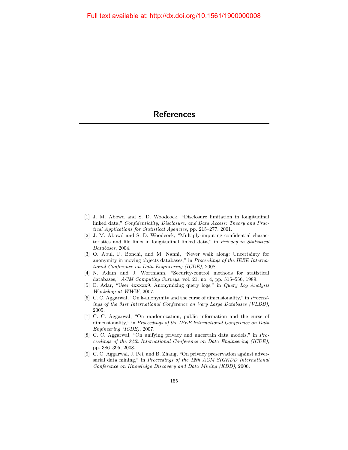- <span id="page-27-0"></span>[1] J. M. Abowd and S. D. Woodcock, "Disclosure limitation in longitudinal linked data," Confidentiality, Disclosure, and Data Access: Theory and Practical Applications for Statistical Agencies, pp. 215–277, 2001.
- [2] J. M. Abowd and S. D. Woodcock, "Multiply-imputing confidential characteristics and file links in longitudinal linked data," in Privacy in Statistical Databases, 2004.
- [3] O. Abul, F. Bonchi, and M. Nanni, "Never walk along: Uncertainty for anonymity in moving objects databases," in Proceedings of the IEEE International Conference on Data Engineering (ICDE), 2008.
- <span id="page-27-1"></span>[4] N. Adam and J. Wortmann, "Security-control methods for statistical databases," ACM Computing Surveys, vol. 21, no. 4, pp. 515–556, 1989.
- [5] E. Adar, "User 4xxxxx9: Anonymizing query logs," in Query Log Analysis Workshop at WWW, 2007.
- [6] C. C. Aggarwal, "On k-anonymity and the curse of dimensionality," in Proceedings of the 31st International Conference on Very Large Databases (VLDB), 2005.
- [7] C. C. Aggarwal, "On randomization, public information and the curse of dimensionality," in Proceedings of the IEEE International Conference on Data Engineering (ICDE), 2007.
- [8] C. C. Aggarwal, "On unifying privacy and uncertain data models," in Proceedings of the 24th International Conference on Data Engineering (ICDE), pp. 386–395, 2008.
- [9] C. C. Aggarwal, J. Pei, and B. Zhang, "On privacy preservation against adversarial data mining," in Proceedings of the 12th ACM SIGKDD International Conference on Knowledge Discovery and Data Mining (KDD), 2006.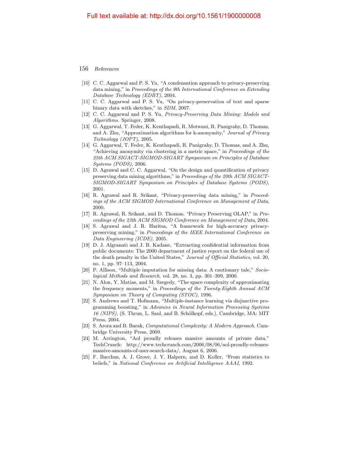- [10] C. C. Aggarwal and P. S. Yu, "A condensation approach to privacy-preserving data mining," in Proceedings of the 9th International Conference on Extending Database Technology (EDBT), 2004.
- [11] C. C. Aggarwal and P. S. Yu, "On privacy-preservation of text and sparse binary data with sketches," in SDM, 2007.
- [12] C. C. Aggarwal and P. S. Yu, Privacy-Preserving Data Mining: Models and Algorithms. Springer, 2008.
- [13] G. Aggarwal, T. Feder, K. Kenthapadi, R. Motwani, R. Panigrahy, D. Thomas, and A. Zhu, "Approximation algorithms for k-anonymity," Journal of Privacy Technology (JOPT), 2005.
- [14] G. Aggarwal, T. Feder, K. Kenthapadi, R. Panigrahy, D. Thomas, and A. Zhu, "Achieving anonymity via clustering in a metric space," in Proceedings of the 25th ACM SIGACT-SIGMOD-SIGART Symposium on Principles of Database Systems (PODS), 2006.
- [15] D. Agrawal and C. C. Aggarwal, "On the design and quantification of privacy preserving data mining algorithms," in Proceedings of the 20th ACM SIGACT-SIGMOD-SIGART Symposium on Principles of Database Systems (PODS), 2001.
- [16] R. Agrawal and R. Srikant, "Privacy-preserving data mining," in Proceedings of the ACM SIGMOD International Conference on Management of Data, 2000.
- [17] R. Agrawal, R. Srikant, and D. Thomas, "Privacy Preserving OLAP," in Proceedings of the 23th ACM SIGMOD Conference on Management of Data, 2004.
- [18] S. Agrawal and J. R. Haritsa, "A framework for high-accuracy privacypreserving mining," in Proceedings of the IEEE International Conference on Data Engineering (ICDE), 2005.
- <span id="page-28-1"></span>[19] D. J. Algranati and J. B. Kadane, "Extracting confidential information from public documents: The 2000 department of justice report on the federal use of the death penalty in the United States," Journal of Official Statistics, vol. 20, no. 1, pp. 97–113, 2004.
- [20] P. Allison, "Multiple imputation for missing data: A cautionary tale," Sociological Methods and Research, vol. 28, no. 3, pp. 301–309, 2000.
- [21] N. Alon, Y. Matias, and M. Szegedy, "The space complexity of approximating the frequency moments," in Proceedings of the Twenty-Eighth Annual ACM Symposium on Theory of Computing (STOC), 1996.
- [22] S. Andrews and T. Hofmann, "Multiple-instance learning via disjunctive programming boosting," in Advances in Neural Information Processing Systems  $16$  (NIPS), (S. Thrun, L. Saul, and B. Schölkopf, eds.), Cambridge, MA: MIT Press, 2004.
- [23] S. Arora and B. Barak, Computational Complexity: A Modern Approach. Cambridge University Press, 2009.
- <span id="page-28-0"></span>[24] M. Arrington, "Aol proudly releases massive amounts of private data," TechCrunch: http://www.techcrunch.com/2006/08/06/aol-proudly-releasesmassive-amounts-of-user-search-data/, August 6, 2006.
- [25] F. Bacchus, A. J. Grove, J. Y. Halpern, and D. Koller, "From statistics to beliefs," in National Conference on Artificial Intelligence AAAI, 1992.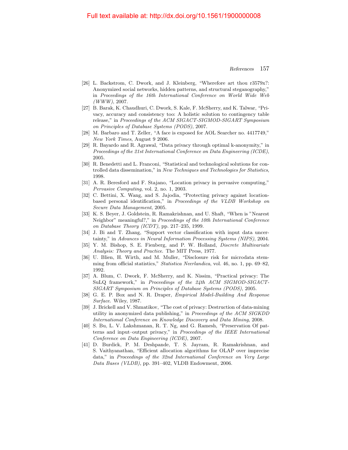- <span id="page-29-1"></span>[26] L. Backstrom, C. Dwork, and J. Kleinberg, "Wherefore art thou r3579x?: Anonymized social networks, hidden patterns, and structural steganography," in Proceedings of the 16th International Conference on World Wide Web  $(WWW)$ , 2007.
- [27] B. Barak, K. Chaudhuri, C. Dwork, S. Kale, F. McSherry, and K. Talwar, "Privacy, accuracy and consistency too: A holistic solution to contingency table release," in Proceedings of the ACM SIGACT-SIGMOD-SIGART Symposium on Principles of Database Systems (PODS), 2007.
- <span id="page-29-0"></span>[28] M. Barbaro and T. Zeller, "A face is exposed for AOL Searcher no. 4417749," New York Times, August 9 2006.
- [29] R. Bayardo and R. Agrawal, "Data privacy through optimal k-anonymity," in Proceedings of the 21st International Conference on Data Engineering (ICDE), 2005.
- [30] R. Benedetti and L. Franconi, "Statistical and technological solutions for controlled data dissemination," in New Techniques and Technologies for Statistics, 1998.
- [31] A. R. Beresford and F. Stajano, "Location privacy in pervasive computing," Pervasive Computing, vol. 2, no. 1, 2003.
- [32] C. Bettini, X. Wang, and S. Jajodia, "Protecting privacy against locationbased personal identification," in Proceedings of the VLDB Workshop on Secure Data Management, 2005.
- [33] K. S. Beyer, J. Goldstein, R. Ramakrishnan, and U. Shaft, "When is "Nearest Neighbor" meaningful?," in Proceedings of the 10th International Conference on Database Theory (ICDT), pp. 217–235, 1999.
- [34] J. Bi and T. Zhang, "Support vector classification with input data uncertainty," in Advances in Neural Information Processing Systems (NIPS), 2004.
- [35] Y. M. Bishop, S. E. Fienberg, and P. W. Holland, Discrete Multivariate Analysis: Theory and Practice. The MIT Press, 1977.
- [36] U. Blien, H. Wirth, and M. Muller, "Disclosure risk for microdata stemming from official statistics," Statistica Neerlandica, vol. 46, no. 1, pp. 69–82, 1992.
- [37] A. Blum, C. Dwork, F. McSherry, and K. Nissim, "Practical privacy: The SuLQ framework," in Proceedings of the 24th ACM SIGMOD-SIGACT-SIGART Symposium on Principles of Database Systems (PODS), 2005.
- [38] G. E. P. Box and N. R. Draper, Empirical Model-Building And Response Surface. Wiley, 1987.
- [39] J. Brickell and V. Shmatikov, "The cost of privacy: Destruction of data-mining utility in anonymized data publishing," in Proceedings of the ACM SIGKDD International Conference on Knowledge Discovery and Data Mining, 2008.
- [40] S. Bu, L. V. Lakshmanan, R. T. Ng, and G. Ramesh, "Preservation Of patterns and input–output privacy," in Proceedings of the IEEE International Conference on Data Engineering (ICDE), 2007.
- [41] D. Burdick, P. M. Deshpande, T. S. Jayram, R. Ramakrishnan, and S. Vaithyanathan, "Efficient allocation algorithms for OLAP over imprecise data," in Proceedings of the 32nd International Conference on Very Large Data Bases (VLDB), pp. 391–402, VLDB Endowment, 2006.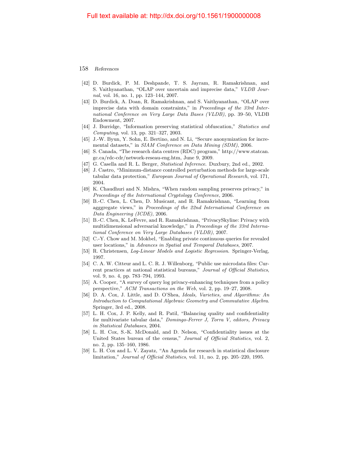- [42] D. Burdick, P. M. Deshpande, T. S. Jayram, R. Ramakrishnan, and S. Vaithyanathan, "OLAP over uncertain and imprecise data," VLDB Journal, vol. 16, no. 1, pp. 123–144, 2007.
- [43] D. Burdick, A. Doan, R. Ramakrishnan, and S. Vaithyanathan, "OLAP over imprecise data with domain constraints," in Proceedings of the 33rd International Conference on Very Large Data Bases (VLDB), pp. 39–50, VLDB Endowment, 2007.
- [44] J. Burridge, "Information preserving statistical obfuscation," Statistics and Computing, vol. 13, pp. 321–327, 2003.
- [45] J.-W. Byun, Y. Sohn, E. Bertino, and N. Li, "Secure anonymization for incremental datasets," in SIAM Conference on Data Mining (SDM), 2006.
- <span id="page-30-3"></span>[46] S. Canada, "The research data centres (RDC) program," http://www.statcan. gc.ca/rdc-cdr/network-reseau-eng.htm, June 9, 2009.
- [47] G. Casella and R. L. Berger, Statistical Inference. Duxbury, 2nd ed., 2002.
- [48] J. Castro, "Minimum-distance controlled perturbation methods for large-scale tabular data protection," European Journal of Operational Research, vol. 171, 2004.
- [49] K. Chaudhuri and N. Mishra, "When random sampling preserves privacy," in Proceedings of the International Cryptology Conference, 2006.
- [50] B.-C. Chen, L. Chen, D. Musicant, and R. Ramakrishnan, "Learning from agggregate views," in Proceedings of the 22nd International Conference on Data Engineering (ICDE), 2006.
- [51] B.-C. Chen, K. LeFevre, and R. Ramakrishnan, "PrivacySkyline: Privacy with multidimensional adversarial knowledge," in Proceedings of the 33rd International Conference on Very Large Databases (VLDB), 2007.
- [52] C.-Y. Chow and M. Mokbel, "Enabling private continuous queries for revealed user locations," in Advances in Spatial and Temporal Databases, 2007.
- [53] R. Christensen, Log-Linear Models and Logistic Regression. Springer-Verlag, 1997.
- <span id="page-30-0"></span>[54] C. A. W. Citteur and L. C. R. J. Willenborg, "Public use microdata files: Current practices at national statistical bureaus," Journal of Official Statistics, vol. 9, no. 4, pp. 783–794, 1993.
- [55] A. Cooper, "A survey of query log privacy-enhancing techniques from a policy perspective," ACM Transactions on the Web, vol. 2, pp. 19–27, 2008.
- [56] D. A. Cox, J. Little, and D. O'Shea, Ideals, Varieties, and Algorithms: An Introduction to Computational Algebraic Geometry and Commutative Algebra. Springer, 3rd ed., 2008.
- [57] L. H. Cox, J. P. Kelly, and R. Patil, "Balancing quality and confidentiality for multivariate tabular data," Domingo-Ferrer J, Torra V, editors, Privacy in Statistical Databases, 2004.
- <span id="page-30-1"></span>[58] L. H. Cox, S.-K. McDonald, and D. Nelson, "Confidentiality issues at the United States bureau of the census," Journal of Official Statistics, vol. 2, no. 2, pp. 135–160, 1986.
- <span id="page-30-2"></span>[59] L. H. Cox and L. V. Zayatz, "An Agenda for research in statistical disclosure limitation," Journal of Official Statistics, vol. 11, no. 2, pp. 205–220, 1995.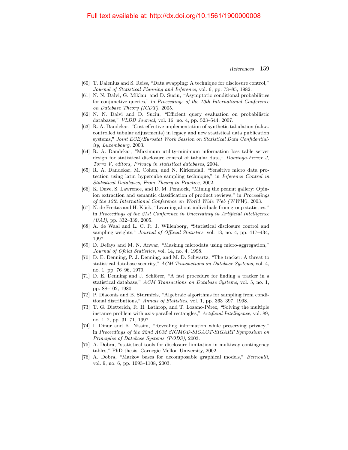- [60] T. Dalenius and S. Reiss, "Data swapping: A technique for disclosure control," Journal of Statistical Planning and Inference, vol. 6, pp. 73–85, 1982.
- [61] N. N. Dalvi, G. Miklau, and D. Suciu, "Asymptotic conditional probabilities for conjunctive queries," in Proceedings of the 10th International Conference on Database Theory (ICDT), 2005.
- [62] N. N. Dalvi and D. Suciu, "Efficient query evaluation on probabilistic databases," VLDB Journal, vol. 16, no. 4, pp. 523–544, 2007.
- [63] R. A. Dandekar, "Cost effective implementation of synthetic tabulation (a.k.a. controlled tabular adjustments) in legacy and new statistical data publication systems," Joint ECE/Eurostat Work Session on Statistical Data Confidentiality, Luxembourg, 2003.
- [64] R. A. Dandekar, "Maximum utility-minimum information loss table server design for statistical disclosure control of tabular data," Domingo-Ferrer J, Torra V, editors, Privacy in statistical databases, 2004.
- [65] R. A. Dandekar, M. Cohen, and N. Kirkendall, "Sensitive micro data protection using latin hypercube sampling technique," in Inference Control in Statistical Databases, From Theory to Practice, 2002.
- [66] K. Dave, S. Lawrence, and D. M. Pennock, "Mining the peanut gallery: Opinion extraction and semantic classification of product reviews," in *Proceedings* of the 12th International Conference on World Wide Web (WWW), 2003.
- [67] N. de Freitas and H. Kück, "Learning about individuals from group statistics," in Proceedings of the 21st Conference in Uncertainty in Artificial Intelligence  $(UAI)$ , pp. 332–339, 2005.
- [68] A. de Waal and L. C. R. J. Willenborg, "Statistical disclosure control and sampling weights," Journal of Official Statistics, vol. 13, no. 4, pp. 417–434, 1997.
- [69] D. Defays and M. N. Anwar, "Masking microdata using micro-aggregation," Journal of Ofcial Statistics, vol. 14, no. 4, 1998.
- [70] D. E. Denning, P. J. Denning, and M. D. Schwartz, "The tracker: A threat to statistical database security," ACM Transactions on Database Systems, vol. 4, no. 1, pp. 76–96, 1979.
- [71] D. E. Denning and J. Schlörer, "A fast procedure for finding a tracker in a statistical database," ACM Transactions on Database Systems, vol. 5, no. 1, pp. 88–102, 1980.
- [72] P. Diaconis and B. Sturmfels, "Algebraic algorithms for sampling from conditional distributions," Annals of Statistics, vol. 1, pp. 363–397, 1998.
- [73] T. G. Dietterich, R. H. Lathrop, and T. Lozano-Pérez, "Solving the multiple instance problem with axis-parallel rectangles," Artificial Intelligence, vol. 89, no. 1–2, pp. 31–71, 1997.
- [74] I. Dinur and K. Nissim, "Revealing information while preserving privacy," in Proceedings of the 22nd ACM SIGMOD-SIGACT-SIGART Symposium on Principles of Database Systems (PODS), 2003.
- [75] A. Dobra, "statistical tools for disclosure limitation in multiway contingency tables," PhD thesis, Carnegie Mellon University, 2002.
- [76] A. Dobra, "Markov bases for decomposable graphical models," Bernoulli, vol. 9, no. 6, pp. 1093–1108, 2003.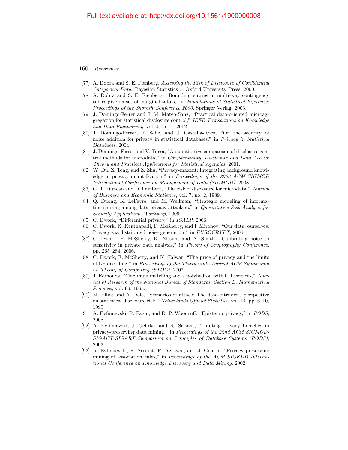- [77] A. Dobra and S. E. Fienberg, Assessing the Risk of Disclosure of Confidential Categorical Data. Bayesian Statistics 7, Oxford University Press, 2000.
- [78] A. Dobra and S. E. Fienberg, "Bounding entries in multi-way contingency tables given a set of marginal totals," in Foundations of Statistical Inference: Proceedings of the Shoresh Conference 2000, Springer Verlag, 2003.
- [79] J. Domingo-Ferrer and J. M. Mateo-Sanz, "Practical data-oriented microaggregation for statistical disclosure control," IEEE Transactions on Knowledge and Data Engineering, vol. 4, no. 1, 2002.
- [80] J. Domingo-Ferrer, F. Sebe, and J. Castella-Roca, "On the security of noise addition for privacy in statistical databases," in Privacy in Statistical Databases, 2004.
- [81] J. Domingo-Ferrer and V. Torra, "A quantitative comparison of disclosure control methods for microdata," in Confidentiality, Disclosure and Data Access: Theory and Practical Applications for Statistical Agencies, 2001.
- [82] W. Du, Z. Teng, and Z. Zhu, "Privacy-maxent: Integrating background knowledge in privacy quantification," in Proceedings of the 2008 ACM SIGMOD International Conference on Management of Data (SIGMOD), 2008.
- [83] G. T. Duncan and D. Lambert, "The risk of disclosure for microdata," Journal of Business and Economic Statistics, vol. 7, no. 2, 1989.
- [84] Q. Duong, K. LeFevre, and M. Wellman, "Strategic modeling of information sharing among data privacy attackers," in Quantitative Risk Analysis for Security Applications Workshop, 2009.
- [85] C. Dwork, "Differential privacy," in *ICALP*, 2006.
- [86] C. Dwork, K. Kenthapadi, F. McSherry, and I. Mironov, "Our data, ourselves: Privacy via distributed noise generation," in EUROCRYPT, 2006.
- [87] C. Dwork, F. McSherry, K. Nissim, and A. Smith, "Calibrating noise to sensitivity in private data analysis," in Theory of Cryptography Conference, pp. 265–284, 2006.
- [88] C. Dwork, F. McSherry, and K. Talwar, "The price of privacy and the limits of LP decoding," in Proceedings of the Thirty-ninth Annual ACM Symposium on Theory of Computing (STOC), 2007.
- [89] J. Edmonds, "Maximum matching and a polyhedron with 0–1 vertices," Journal of Research of the National Bureau of Standards, Section B, Mathematical Sciences, vol. 69, 1965.
- [90] M. Elliot and A. Dale, "Scenarios of attack: The data intruder's perspective on statistical disclosure risk," Netherlands Official Statistics, vol. 14, pp. 6–10, 1999.
- [91] A. Evfimievski, R. Fagin, and D. P. Woodruff, "Epistemic privacy," in PODS, 2008.
- [92] A. Evfimievski, J. Gehrke, and R. Srikant, "Limiting privacy breaches in privacy-preserving data mining," in Proceedings of the 22nd ACM SIGMOD-SIGACT-SIGART Symposium on Principles of Database Systems (PODS), 2003.
- [93] A. Evfimievski, R. Srikant, R. Agrawal, and J. Gehrke, "Privacy preserving mining of association rules," in Proceedings of the ACM SIGKDD International Conference on Knowledge Discovery and Data Mining, 2002.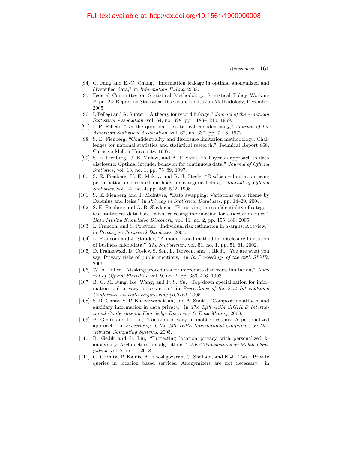- [94] C. Fang and E.-C. Chang, "Information leakage in optimal anonymized and diversified data," in Information Hiding, 2008.
- <span id="page-33-0"></span>[95] Federal Committee on Statistical Methodology. Statistical Policy Working Paper 22: Report on Statistical Disclosure Limitation Methodology, December 2005.
- <span id="page-33-3"></span>[96] I. Fellegi and A. Sunter, "A theory for record linkage," Journal of the American Statistical Association, vol. 64, no. 328, pp. 1183–1210, 1969.
- [97] I. P. Fellegi, "On the question of statistical confidentiality," Journal of the American Statistical Association, vol. 67, no. 337, pp. 7–18, 1972.
- [98] S. E. Fienberg, "Confidentiality and disclosure limitation methodology: Challenges for national statistics and statistical research," Technical Report 668, Carnegie Mellon University, 1997.
- [99] S. E. Fienberg, U. E. Makov, and A. P. Sanil, "A bayesian approach to data disclosure: Optimal intruder behavior for continuous data," Journal of Official Statistics, vol. 13, no. 1, pp. 75–89, 1997.
- [100] S. E. Fienberg, U. E. Makov, and R. J. Steele, "Disclosure limitation using perturbation and related methods for categorical data," Journal of Official Statistics, vol. 14, no. 4, pp. 485–502, 1998.
- <span id="page-33-1"></span>[101] S. E. Fienberg and J. McIntyre, "Data swapping: Variations on a theme by Dalenius and Reiss," in Privacy in Statistical Databases, pp. 14–29, 2004.
- [102] S. E. Fienberg and A. B. Slavkovic, "Preserving the confidentiality of categorical statistical data bases when releasing information for association rules," Data Mining Knowledge Discovery, vol. 11, no. 2, pp. 155–180, 2005.
- [103] L. Franconi and S. Polettini, "Individual risk estimation in  $\mu$ -argus: A review," in Privacy in Statistical Databases, 2004.
- [104] L. Franconi and J. Stander, "A model-based method for disclosure limitation of business microdata," The Statistician, vol. 51, no. 1, pp. 51–61, 2002.
- <span id="page-33-2"></span>[105] D. Frankowski, D. Cosley, S. Sen, L. Terveen, and J. Riedl, "You are what you say: Privacy risks of public mentions," in In Proceedings of the 29th SIGIR, 2006.
- [106] W. A. Fuller, "Masking procedures for microdata disclosure limitation," Journal of Official Statistics, vol. 9, no. 2, pp. 383–406, 1993.
- [107] B. C. M. Fung, Ke. Wang, and P. S. Yu, "Top-down specialization for information and privacy preservation," in Proceedings of the 21st International Conference on Data Engineering (ICDE), 2005.
- [108] S. R. Ganta, S. P. Kasiviswanathan, and A. Smith, "Composition attacks and auxiliary information in data privacy," in The 14th ACM SIGKDD International Conference on Knowledge Discovery & Data Mining, 2008.
- [109] B. Gedik and L. Liu, "Location privacy in mobile systems: A personalized approach," in Proceedings of the 25th IEEE International Conference on Distributed Computing Systems, 2005.
- [110] B. Gedik and L. Liu, "Protecting location privacy with personalized kanonymity: Architecture and algorithms," IEEE Transactions on Mobile Computing, vol. 7, no. 1, 2008.
- [111] G. Ghinita, P. Kalnis, A. Khoshgozaran, C. Shahabi, and K.-L. Tan, "Private queries in location based services: Anonymizers are not necessary," in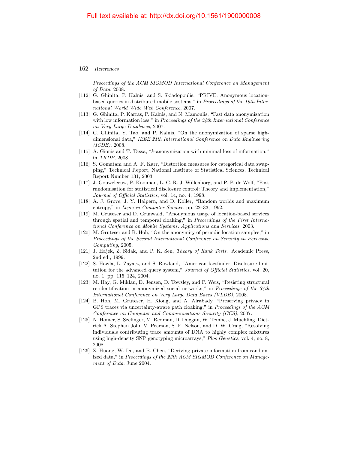### 162 References

Proceedings of the ACM SIGMOD International Conference on Management of Data, 2008.

- [112] G. Ghinita, P. Kalnis, and S. Skiadopoulis, "PRIVE: Anonymous locationbased queries in distributed mobile systems," in Proceedings of the 16th International World Wide Web Conference, 2007.
- [113] G. Ghinita, P. Karras, P. Kalnis, and N. Mamoulis, "Fast data anonymization with low information loss," in Proceedings of the 34th International Conference on Very Large Databases, 2007.
- [114] G. Ghinita, Y. Tao, and P. Kalnis, "On the anonymization of sparse highdimensional data," IEEE 24th International Conference on Data Engineering (ICDE), 2008.
- [115] A. Gionis and T. Tassa, "k-anonymization with minimal loss of information," in TKDE, 2008.
- [116] S. Gomatam and A. F. Karr, "Distortion measures for categorical data swapping," Technical Report, National Institute of Statistical Sciences, Technical Report Number 131, 2003.
- [117] J. Gouweleeuw, P. Kooiman, L. C. R. J. Willenborg, and P.-P. de Wolf, "Post randomisation for statistical disclosure control: Theory and implementation," Journal of Official Statistics, vol. 14, no. 4, 1998.
- [118] A. J. Grove, J. Y. Halpern, and D. Koller, "Random worlds and maximum entropy," in Logic in Computer Science, pp. 22–33, 1992.
- [119] M. Gruteser and D. Grunwald, "Anonymous usage of location-based services through spatial and temporal cloaking," in Proceedings of the First International Conference on Mobile Systems, Applications and Services, 2003.
- <span id="page-34-2"></span>[120] M. Gruteser and B. Hoh, "On the anonymity of periodic location samples," in Proceedings of the Second International Conference on Security in Pervasive Computing, 2005.
- [121] J. Hajek, Z. Sidak, and P. K. Sen, Theory of Rank Tests. Academic Press, 2nd ed., 1999.
- <span id="page-34-0"></span>[122] S. Hawla, L. Zayatz, and S. Rowland, "American factfinder: Disclosure limitation for the advanced query system," Journal of Official Statistics, vol. 20, no. 1, pp. 115–124, 2004.
- <span id="page-34-1"></span>[123] M. Hay, G. Miklau, D. Jensen, D. Towsley, and P. Weis, "Resisting structural re-identification in anonymized social networks," in Proceedings of the 34th International Conference on Very Large Data Bases (VLDB), 2008.
- [124] B. Hoh, M. Gruteser, H. Xiong, and A. Alrabady, "Preserving privacy in GPS traces via uncertainty-aware path cloaking," in Proceedings of the ACM Conference on Computer and Communications Security (CCS), 2007.
- <span id="page-34-3"></span>[125] N. Homer, S. Szelinger, M. Redman, D. Duggan, W. Tembe, J. Muehling, Dietrick A. Stephan John V. Pearson, S. F. Nelson, and D. W. Craig, "Resolving individuals contributing trace amounts of DNA to highly complex mixtures using high-density SNP genotyping microarrays," Plos Genetics, vol. 4, no. 8, 2008.
- [126] Z. Huang, W. Du, and B. Chen, "Deriving private information from randomized data," in Proceedings of the 23th ACM SIGMOD Conference on Management of Data, June 2004.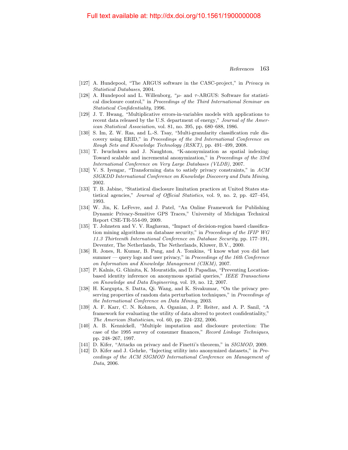- <span id="page-35-1"></span>[127] A. Hundepool, "The ARGUS software in the CASC-project," in Privacy in Statistical Databases, 2004.
- <span id="page-35-2"></span>[128] A. Hundepool and L. Willenborg, " $\mu$ - and  $\tau$ -ARGUS: Software for statistical disclosure control," in Proceedings of the Third International Seminar on Statistical Confidentiality, 1996.
- [129] J. T. Hwang, "Multiplicative errors-in-variables models with applications to recent data released by the U.S. department of energy," Journal of the American Statistical Association, vol. 81, no. 395, pp. 680–688, 1986.
- [130] S. Im, Z. W. Ras, and L.-S. Tsay, "Multi-granularity classification rule discovery using ERID," in Proceedings of the 3rd International Conference on Rough Sets and Knowledge Technology (RSKT), pp. 491–499, 2008.
- [131] T. Iwuchukwu and J. Naughton, "K-anonymization as spatial indexing: Toward scalable and incremental anonymization," in Proceedings of the 33rd International Conference on Very Large Databases (VLDB), 2007.
- [132] V. S. Iyengar, "Transforming data to satisfy privacy constraints," in ACM SIGKDD International Conference on Knowledge Discovery and Data Mining, 2002.
- <span id="page-35-0"></span>[133] T. B. Jabine, "Statistical disclosure limitation practices at United States statistical agencies," Journal of Official Statistics, vol. 9, no. 2, pp. 427–454, 1993.
- [134] W. Jin, K. LeFevre, and J. Patel, "An Online Framework for Publishing Dynamic Privacy-Sensitive GPS Traces," University of Michigan Technical Report CSE-TR-554-09, 2009.
- [135] T. Johnsten and V. V. Raghavan, "Impact of decision-region based classification mining algorithms on database security," in Proceedings of the IFIP WG 11.3 Thirteenth International Conference on Database Security, pp. 177–191, Deventer, The Netherlands, The Netherlands, Kluwer, B.V., 2000.
- [136] R. Jones, R. Kumar, B. Pang, and A. Tomkins, "I know what you did last summer — query logs and user privacy," in Proceedings of the 16th Conference on Information and Knowledge Management (CIKM), 2007.
- [137] P. Kalnis, G. Ghinita, K. Mouratidis, and D. Papadias, "Preventing Locationbased identity inference on anonymous spatial queries," IEEE Transactions on Knowledge and Data Engineering, vol. 19, no. 12, 2007.
- [138] H. Kargupta, S. Datta, Qi. Wang, and K. Sivakumar, "On the privacy preserving properties of random data perturbation techniques," in *Proceedings of* the International Conference on Data Mining, 2003.
- [139] A. F. Karr, C. N. Kohnen, A. Oganian, J. P. Reiter, and A. P. Sanil, "A framework for evaluating the utility of data altered to protect confidentiality," The American Statistician, vol. 60, pp. 224–232, 2006.
- [140] A. B. Kennickell, "Multiple imputation and disclosure protection: The case of the 1995 survey of consumer finances," Record Linkage Techniques, pp. 248–267, 1997.
- [141] D. Kifer, "Attacks on privacy and de Finetti's theorem," in SIGMOD, 2009.
- [142] D. Kifer and J. Gehrke, "Injecting utility into anonymized datasets," in Proceedings of the ACM SIGMOD International Conference on Management of Data, 2006.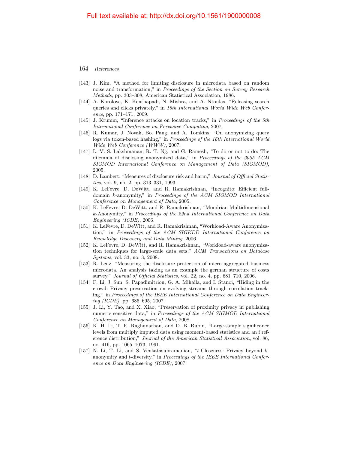- [143] J. Kim, "A method for limiting disclosure in microdata based on random noise and transformation," in Proceedings of the Section on Survey Research Methods, pp. 303–308, American Statistical Association, 1986.
- [144] A. Korolova, K. Kenthapadi, N. Mishra, and A. Ntoulas, "Releasing search queries and clicks privately," in 18th International World Wide Web Conference, pp. 171–171, 2009.
- <span id="page-36-0"></span>[145] J. Krumm, "Inference attacks on location tracks," in Proceedings of the 5th International Conference on Pervasive Computing, 2007.
- [146] R. Kumar, J. Novak, Bo. Pang, and A. Tomkins, "On anonymizing query logs via token-based hashing," in Proceedings of the 16th International World Wide Web Conference (WWW), 2007.
- [147] L. V. S. Lakshmanan, R. T. Ng, and G. Ramesh, "To do or not to do: The dilemma of disclosing anonymized data," in Proceedings of the 2005 ACM SIGMOD International Conference on Management of Data (SIGMOD), 2005.
- [148] D. Lambert, "Measures of disclosure risk and harm," Journal of Official Statistics, vol. 9, no. 2, pp. 313–331, 1993.
- [149] K. LeFevre, D. DeWitt, and R. Ramakrishnan, "Incognito: Efficient fulldomain k-anonymity," in Proceedings of the ACM SIGMOD International Conference on Management of Data, 2005.
- [150] K. LeFevre, D. DeWitt, and R. Ramakrishnan, "Mondrian Multidimensional k-Anonymity," in Proceedings of the 22nd International Conference on Data Engineering (ICDE), 2006.
- [151] K. LeFevre, D. DeWitt, and R. Ramakrishnan, "Workload-Aware Anonymization," in Proceedings of the ACM SIGKDD International Conference on Knowledge Discovery and Data Mining, 2006.
- [152] K. LeFevre, D. DeWitt, and R. Ramakrishnan, "Workload-aware anonymization techniques for large-scale data sets," ACM Transactions on Database Systems, vol. 33, no. 3, 2008.
- [153] R. Lenz, "Measuring the disclosure protection of micro aggregated business microdata. An analysis taking as an example the german structure of costs survey," Journal of Official Statistics, vol. 22, no. 4, pp. 681–710, 2006.
- [154] F. Li, J. Sun, S. Papadimitriou, G. A. Mihaila, and I. Stanoi, "Hiding in the crowd: Privacy preservation on evolving streams through correlation tracking," in Proceedings of the IEEE International Conference on Data Engineering (ICDE), pp.  $686-695$ , 2007.
- [155] J. Li, Y. Tao, and X. Xiao, "Preservation of proximity privacy in publishing numeric sensitive data," in Proceedings of the ACM SIGMOD International Conference on Management of Data, 2008.
- [156] K. H. Li, T. E. Raghunathan, and D. B. Rubin, "Large-sample significance levels from multiply imputed data using moment-based statistics and an f reference distribution," Journal of the American Statistical Association, vol. 86, no. 416, pp. 1065–1073, 1991.
- [157] N. Li, T. Li, and S. Venkatasubramanian, "t-Closeness: Privacy beyond kanonymity and l-diversity," in Proceedings of the IEEE International Conference on Data Engineering (ICDE), 2007.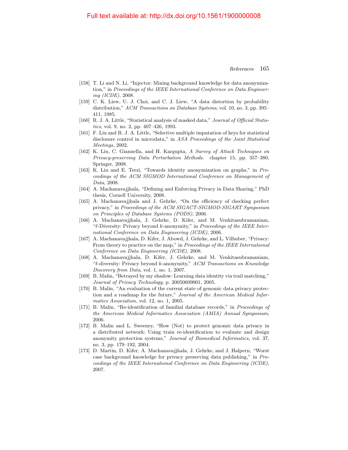- [158] T. Li and N. Li, "Injector: Mining background knowledge for data anonymization," in Proceedings of the IEEE International Conference on Data Engineering (ICDE), 2008.
- [159] C. K. Liew, U. J. Choi, and C. J. Liew, "A data distortion by probability distribution," ACM Transactions on Database Systems, vol. 10, no. 3, pp. 395– 411, 1985.
- [160] R. J. A. Little, "Statistical analysis of masked data," Journal of Official Statistics, vol. 9, no. 2, pp. 407–426, 1993.
- [161] F. Liu and R. J. A. Little, "Selective multiple imputation of keys for statistical disclosure control in microdata," in ASA Proceedings of the Joint Statistical Meetings, 2002.
- [162] K. Liu, C. Giannella, and H. Kargupta, A Survey of Attack Techniques on Privacy-preserving Data Perturbation Methods. chapter 15, pp. 357–380, Springer, 2008.
- [163] K. Liu and E. Terzi, "Towards identity anonymization on graphs," in Proceedings of the ACM SIGMOD International Conference on Management of Data, 2008.
- [164] A. Machanavajjhala, "Defining and Enforcing Privacy in Data Sharing," PhD thesis, Cornell University, 2008.
- [165] A. Machanavajjhala and J. Gehrke, "On the efficiency of checking perfect privacy," in Proceedings of the ACM SIGACT-SIGMOD-SIGART Symposium on Principles of Database Systems (PODS), 2006.
- [166] A. Machanavajjhala, J. Gehrke, D. Kifer, and M. Venkitasubramaniam, " $\ell$ -Diversity: Privacy beyond k-anonymity," in *Proceedings of the IEEE Inter*national Conference on Data Engineering (ICDE), 2006.
- [167] A. Machanavajjhala, D. Kifer, J. Abowd, J. Gehrke, and L. Vilhuber, "Privacy: From theory to practice on the map," in Proceedings of the IEEE International Conference on Data Engineering (ICDE), 2008.
- [168] A. Machanavajjhala, D. Kifer, J. Gehrke, and M. Venkitasubramaniam, " $\ell$ -diversity: Privacy beyond k-anonymity," ACM Transactions on Knowledge Discovery from Data, vol. 1, no. 1, 2007.
- [169] B. Malin, "Betrayed by my shadow: Learning data identity via trail matching," Journal of Privacy Technology, p. 20050609001, 2005.
- <span id="page-37-0"></span>[170] B. Malin, "An evaluation of the current state of genomic data privacy protection and a roadmap for the future," Journal of the American Medical Informatics Association, vol. 12, no. 1, 2005.
- <span id="page-37-1"></span>[171] B. Malin, "Re-identification of familial database records," in Proceedings of the American Medical Informatics Association (AMIA) Annual Symposium, 2006.
- <span id="page-37-2"></span>[172] B. Malin and L. Sweeney, "How (Not) to protect genomic data privacy in a distributed network: Using train re-identification to evaluate and design anonymity protection systems," Journal of Biomedical Informatics, vol. 37, no. 3, pp. 179–192, 2004.
- [173] D. Martin, D. Kifer, A. Machanavajjhala, J. Gehrke, and J. Halpern, "Worst case background knowledge for privacy preserving data publishing," in Proceedings of the IEEE International Conference on Data Engineering (ICDE), 2007.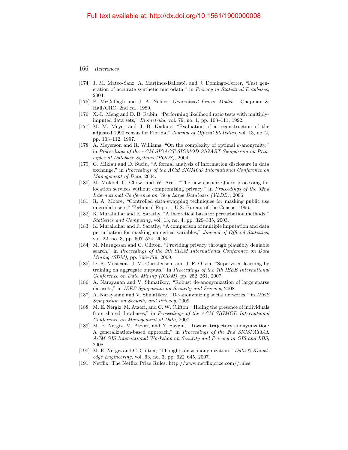- [174] J. M. Mateo-Sanz, A. Martínez-Ballesté, and J. Domingo-Ferrer, "Fast generation of accurate synthetic microdata," in Privacy in Statistical Databases, 2004.
- [175] P. McCullagh and J. A. Nelder, Generalized Linear Models. Chapman & Hall/CRC, 2nd ed., 1989.
- [176] X.-L. Meng and D. B. Rubin, "Performing likelihood ratio tests with multiplyimputed data sets," Biometrika, vol. 79, no. 1, pp. 103–111, 1992.
- <span id="page-38-3"></span>[177] M. M. Meyer and J. B. Kadane, "Evaluation of a reconstruction of the adjusted 1990 census for Florida," Journal of Official Statistics, vol. 13, no. 2, pp. 103–112, 1997.
- [178] A. Meyerson and R. Williams, "On the complexity of optimal k-anonymity," in Proceedings of the ACM SIGACT-SIGMOD-SIGART Symposium on Principles of Database Systems (PODS), 2004.
- [179] G. Miklau and D. Suciu, "A formal analysis of information disclosure in data exchange," in Proceedings of the ACM SIGMOD International Conference on Management of Data, 2004.
- [180] M. Mokbel, C. Chow, and W. Aref, "The new casper: Query processing for location services without compromising privacy," in Proceedings of the 32nd International Conference on Very Large Databases (VLDB), 2006.
- [181] R. A. Moore, "Controlled data-swapping techniques for masking public use microdata sets," Technical Report, U.S. Bureau of the Census, 1996.
- [182] K. Muralidhar and R. Sarathy, "A theoretical basis for perturbation methods," Statistics and Computing, vol. 13, no. 4, pp. 329–335, 2003.
- [183] K. Muralidhar and R. Sarathy, "A comparison of multiple imputation and data perturbation for masking numerical variables," Journal of Official Statistics, vol. 22, no. 3, pp. 507–524, 2006.
- [184] M. Murugesan and C. Clifton, "Providing privacy through plausibly deniable search," in Proceedings of the 9th SIAM International Conference on Data Mining (SDM), pp. 768–779, 2009.
- [185] D. R. Musicant, J. M. Christensen, and J. F. Olson, "Supervised learning by training on aggregate outputs," in Proceedings of the 7th IEEE International Conference on Data Mining (ICDM), pp. 252–261, 2007.
- <span id="page-38-1"></span>[186] A. Narayanan and V. Shmatikov, "Robust de-anonymization of large sparse datasets," in IEEE Symposium on Security and Privacy, 2008.
- <span id="page-38-2"></span>[187] A. Narayanan and V. Shmatikov, "De-anonymizing social networks," in IEEE Symposium on Security and Privacy, 2009.
- [188] M. E. Nergiz, M. Atzori, and C. W. Clifton, "Hiding the presence of individuals from shared databases," in Proceedings of the ACM SIGMOD International Conference on Management of Data, 2007.
- [189] M. E. Nergiz, M. Atzori, and Y. Saygin, "Toward trajectory anonymization: A generalization-based approach," in Proceedings of the 2nd SIGSPATIAL ACM GIS International Workshop on Security and Privacy in GIS and LBS, 2008.
- [190] M. E. Nergiz and C. Clifton, "Thoughts on k-anonymization," Data  $\mathcal{B}$  Knowledge Engineering, vol. 63, no. 3, pp. 622–645, 2007.
- <span id="page-38-0"></span>[191] Netflix. The Netflix Prize Rules: http://www.netflixprize.com//rules.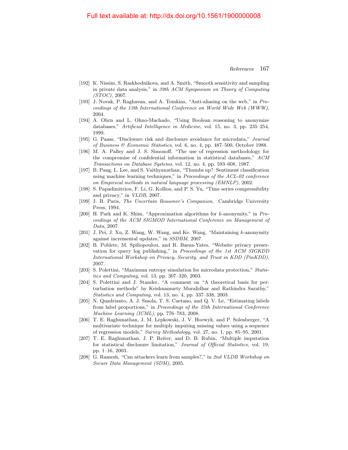- [192] K. Nissim, S. Raskhodnikova, and A. Smith, "Smooth sensitivity and sampling in private data analysis," in 39th ACM Symposium on Theory of Computing (STOC), 2007.
- [193] J. Novak, P. Raghavan, and A. Tomkins, "Anti-aliasing on the web," in Proceedings of the 13th International Conference on World Wide Web (WWW), 2004.
- [194] A. Ohrn and L. Ohno-Machado, "Using Boolean reasoning to anonymize databases," Artificial Intelligence in Medicine, vol. 15, no. 3, pp. 235–254, 1999.
- [195] G. Paass, "Disclosure risk and disclosure avoidance for microdata," Journal of Business & Economic Statistics, vol. 6, no. 4, pp. 487–500, October 1988.
- [196] M. A. Palley and J. S. Simonoff, "The use of regression methodology for the compromise of confidential information in statistical databases," ACM Transactions on Database Systems, vol. 12, no. 4, pp. 593–608, 1987.
- [197] B. Pang, L. Lee, and S. Vaithyanathan, "Thumbs up?: Sentiment classification using machine learning techniques," in Proceedings of the ACL-02 conference on Empirical methods in natural language processing (EMNLP), 2002.
- [198] S. Papadimitriou, F. Li, G. Kollios, and P. S. Yu, "Time series compressibility and privacy," in VLDB, 2007.
- [199] J. B. Paris, The Uncertain Reasoner's Companion. Cambridge University Press, 1994.
- [200] H. Park and K. Shim, "Approximation algorithms for k-anonymity," in Proceedings of the ACM SIGMOD International Conference on Management of Data, 2007.
- [201] J. Pei, J. Xu, Z. Wang, W. Wang, and Ke. Wang, "Maintaining k-anonymity against incremental updates," in SSDBM, 2007.
- [202] B. Poblete, M. Spiliopoulou, and R. Baeza-Yates, "Website privacy preservation for query log publishing," in Proceedings of the 1st ACM SIGKDD International Workshop on Privacy, Security, and Trust in KDD (PinKDD), 2007.
- [203] S. Polettini, "Maximum entropy simulation for microdata protection," Statistics and Computing, vol. 13, pp. 307–320, 2003.
- [204] S. Polettini and J. Stander, "A comment on "A theoretical basis for perturbation methods" by Krishnamurty Muralidhar and Rathindra Sarathy," Statistics and Computing, vol. 13, no. 4, pp. 337–338, 2003.
- [205] N. Quadrianto, A. J. Smola, T. S. Caetano, and Q. V. Le, "Estimating labels from label proportions," in Proceedings of the 25th International Conference Machine Learning (ICML), pp. 776–783, 2008.
- [206] T. E. Raghunathan, J. M. Lepkowski, J. V. Hoewyk, and P. Solenberger, "A multivariate technique for multiply imputing missing values using a sequence of regression models," Survey Methodology, vol. 27, no. 1, pp. 85–95, 2001.
- [207] T. E. Raghunathan, J. P. Reiter, and D. B. Rubin, "Multiple imputation for statistical disclosure limitation," Journal of Official Statistics, vol. 19, pp. 1–16, 2003.
- [208] G. Ramesh, "Can attackers learn from samples?," in 2nd VLDB Workshop on Secure Data Management (SDM), 2005.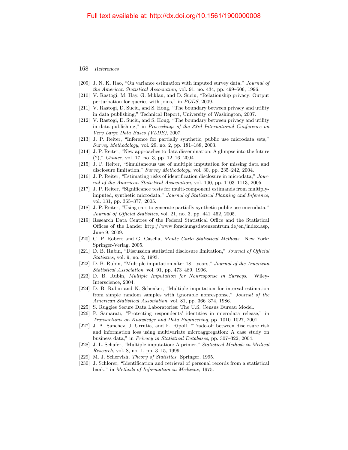- [209] J. N. K. Rao, "On variance estimation with imputed survey data," Journal of the American Statistical Association, vol. 91, no. 434, pp. 499–506, 1996.
- [210] V. Rastogi, M. Hay, G. Miklau, and D. Suciu, "Relationship privacy: Output perturbation for queries with joins," in PODS, 2009.
- [211] V. Rastogi, D. Suciu, and S. Hong, "The boundary between privacy and utility in data publishing," Technical Report, University of Washington, 2007.
- [212] V. Rastogi, D. Suciu, and S. Hong, "The boundary between privacy and utility in data publishing," in Proceedings of the 33rd International Conference on Very Large Data Bases (VLDB), 2007.
- [213] J. P. Reiter, "Inference for partially synthetic, public use microdata sets," Survey Methodology, vol. 29, no. 2, pp. 181–188, 2003.
- <span id="page-40-2"></span>[214] J. P. Reiter, "New approaches to data dissemination: A glimpse into the future (?)," Chance, vol. 17, no. 3, pp. 12–16, 2004.
- [215] J. P. Reiter, "Simultaneous use of multiple imputation for missing data and disclosure limitation," Survey Methodology, vol. 30, pp. 235–242, 2004.
- [216] J. P. Reiter, "Estimating risks of identification disclosure in microdata," Journal of the American Statistical Association, vol. 100, pp. 1103–1113, 2005.
- [217] J. P. Reiter, "Significance tests for multi-component estimands from multiplyimputed, synthetic microdata," Journal of Statistical Planning and Inference, vol. 131, pp. 365–377, 2005.
- [218] J. P. Reiter, "Using cart to generate partially synthetic public use microdata," Journal of Official Statistics, vol. 21, no. 3, pp. 441–462, 2005.
- <span id="page-40-1"></span>[219] Research Data Centres of the Federal Statistical Office and the Statistical Offices of the Lander http://www.forschungsdatenzentrum.de/en/index.asp, June 9, 2009.
- [220] C. P. Robert and G. Casella, Monte Carlo Statistical Methods. New York: Springer-Verlag, 2005.
- [221] D. B. Rubin, "Discussion statistical disclosure limitation," Journal of Official Statistics, vol. 9, no. 2, 1993.
- [222] D. B. Rubin, "Multiple imputation after 18+ years," Journal of the American Statistical Association, vol. 91, pp. 473–489, 1996.
- [223] D. B. Rubin, Multiple Imputation for Nonresponse in Surveys. Wiley-Interscience, 2004.
- [224] D. B. Rubin and N. Schenker, "Multiple imputation for interval estimation from simple random samples with ignorable nonresponse," Journal of the American Statistical Association, vol. 81, pp. 366–374, 1986.
- <span id="page-40-0"></span>[225] S. Ruggles Secure Data Laboratories: The U.S. Census Bureau Model.
- [226] P. Samarati, "Protecting respondents' identities in microdata release," in Transactions on Knowledge and Data Engineering, pp. 1010–1027, 2001.
- [227] J. A. Sanchez, J. Urrutia, and E. Ripoll, "Trade-off between disclosure risk and information loss using multivariate microaggregation: A case study on business data," in Privacy in Statistical Databases, pp. 307–322, 2004.
- [228] J. L. Schafer, "Multiple imputation: A primer," Statistical Methods in Medical Research, vol. 8, no. 1, pp. 3–15, 1999.
- [229] M. J. Schervish, Theory of Statistics. Springer, 1995.
- [230] J. Schlorer, "Identification and retrieval of personal records from a statistical bank," in Methods of Information in Medicine, 1975.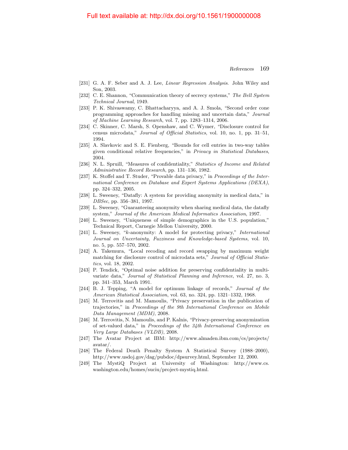- [231] G. A. F. Seber and A. J. Lee, Linear Regression Analysis. John Wiley and Son, 2003.
- [232] C. E. Shannon, "Communication theory of secrecy systems," The Bell System Technical Journal, 1949.
- [233] P. K. Shivaswamy, C. Bhattacharyya, and A. J. Smola, "Second order cone programming approaches for handling missing and uncertain data," Journal of Machine Learning Research, vol. 7, pp. 1283–1314, 2006.
- <span id="page-41-0"></span>[234] C. Skinner, C. Marsh, S. Openshaw, and C. Wymer, "Disclosure control for census microdata," Journal of Official Statistics, vol. 10, no. 1, pp. 31–51, 1994.
- [235] A. Slavkovic and S. E. Fienberg, "Bounds for cell entries in two-way tables given conditional relative frequencies," in Privacy in Statistical Databases, 2004.
- [236] N. L. Spruill, "Measures of confidentiality," Statistics of Income and Related Administrative Record Research, pp. 131–136, 1982.
- [237] K. Stoffel and T. Studer, "Provable data privacy," in Proceedings of the International Conference on Database and Expert Systems Applications (DEXA), pp. 324–332, 2005.
- [238] L. Sweeney, "Datafly: A system for providing anonymity in medical data," in DBSec, pp. 356–381, 1997.
- [239] L. Sweeney, "Guaranteeing anonymity when sharing medical data, the datafly system," Journal of the American Medical Informatics Association, 1997.
- [240] L. Sweeney, "Uniqueness of simple demographics in the U.S. population," Technical Report, Carnegie Mellon University, 2000.
- <span id="page-41-1"></span>[241] L. Sweeney, "k-anonymity: A model for protecting privacy," International Journal on Uncertainty, Fuzziness and Knowledge-based Systems, vol. 10, no. 5, pp. 557–570, 2002.
- [242] A. Takemura, "Local recoding and record swapping by maximum weight matching for disclosure control of microdata sets," Journal of Official Statistics, vol. 18, 2002.
- [243] P. Tendick, "Optimal noise addition for preserving confidentiality in multivariate data," Journal of Statistical Planning and Inference, vol. 27, no. 3, pp. 341–353, March 1991.
- [244] B. J. Tepping, "A model for optimum linkage of records," Journal of the American Statistical Association, vol. 63, no. 324, pp. 1321–1332, 1968.
- [245] M. Terrovitis and M. Mamoulis, "Privacy preservation in the publication of trajectories," in Proceedings of the 9th International Conference on Mobile Data Management (MDM), 2008.
- [246] M. Terrovitis, N. Mamoulis, and P. Kalnis, "Privacy-preserving anonymization of set-valued data," in Proceedings of the 34th International Conference on Very Large Databases (VLDB), 2008.
- [247] The Avatar Project at IBM: http://www.almaden.ibm.com/cs/projects/ avatar/.
- <span id="page-41-2"></span>[248] The Federal Death Penalty System A Statistical Survey (1988–2000), http://www.usdoj.gov/dag/pubdoc/dpsurvey.html, September 12, 2000.
- [249] The MystiQ Project at University of Washington: http://www.cs. washington.edu/homes/suciu/project-mystiq.html.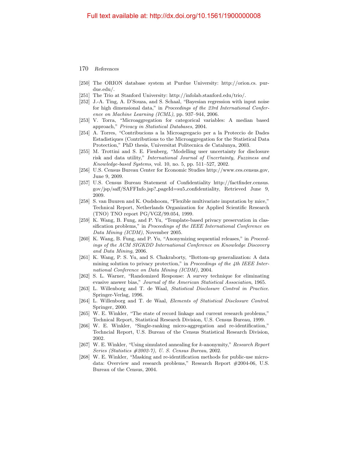- 170 References
- [250] The ORION database system at Purdue University: http://orion.cs. purdue.edu/.
- [251] The Trio at Stanford University: http://infolab.stanford.edu/trio/.
- [252] J.-A. Ting, A. D'Souza, and S. Schaal, "Bayesian regression with input noise for high dimensional data," in Proceedings of the 23rd International Conference on Machine Learning (ICML), pp. 937–944, 2006.
- [253] V. Torra, "Microaggregation for categorical variables: A median based approach," Privacy in Statistical Databases, 2004.
- [254] A. Torres, "Contribucions a la Microagregacio per a la Proteccio de Dades Estadistiques (Contributions to the Microaggregation for the Statistical Data Protection," PhD thesis, Universitat Politecnica de Catalunya, 2003.
- [255] M. Trottini and S. E. Fienberg, "Modelling user uncertainty for disclosure risk and data utility," International Journal of Uncertainty, Fuzziness and Knowledge-based Systems, vol. 10, no. 5, pp. 511–527, 2002.
- <span id="page-42-3"></span>[256] U.S. Census Bureau Center for Economic Studies http://www.ces.census.gov, June 9, 2009.
- <span id="page-42-2"></span>[257] U.S. Census Bureau Statement of Confidentiality http://factfinder.census. gov/jsp/saff/SAFFInfo.jsp? pageId=su5 confidentiality, Retrieved June 9, 2009.
- [258] S. van Buuren and K. Oudshoom, "Flexible multivariate imputation by mice," Technical Report, Netherlands Organization for Applied Scientific Research (TNO) TNO report PG/VGZ/99.054, 1999.
- [259] K. Wang, B. Fung, and P. Yu, "Template-based privacy preservation in classification problems," in Proceedings of the IEEE International Conference on Data Mining (ICDM), November 2005.
- [260] K. Wang, B. Fung, and P. Yu, "Anonymizing sequential releases," in Proceedings of the ACM SIGKDD International Conference on Knowledge Discovery and Data Mining, 2006.
- [261] K. Wang, P. S. Yu, and S. Chakraborty, "Bottom-up generalization: A data mining solution to privacy protection," in Proceedings of the 4th IEEE International Conference on Data Mining (ICDM), 2004.
- [262] S. L. Warner, "Randomized Response: A survey technique for eliminating evasive answer bias," Journal of the American Statistical Association, 1965.
- <span id="page-42-0"></span>[263] L. Willenborg and T. de Waal, Statistical Disclosure Control in Practice. Springer-Verlag, 1996.
- <span id="page-42-1"></span>[264] L. Willenborg and T. de Waal, Elements of Statistical Disclosure Control. Springer, 2000.
- [265] W. E. Winkler, "The state of record linkage and current research problems," Technical Report, Statistical Research Division, U.S. Census Bureau, 1999.
- [266] W. E. Winkler, "Single-ranking micro-aggregation and re-identification," Techncial Report, U.S. Bureau of the Census Statistical Research Division, 2002.
- [267] W. E. Winkler, "Using simulated annealing for k-anonymity," Research Report Series (Statistics #2002-7), U. S. Census Bureau, 2002.
- <span id="page-42-4"></span>[268] W. E. Winkler, "Masking and re-identification methods for public-use microdata: Overview and research problems," Research Report #2004-06, U.S. Bureau of the Census, 2004.